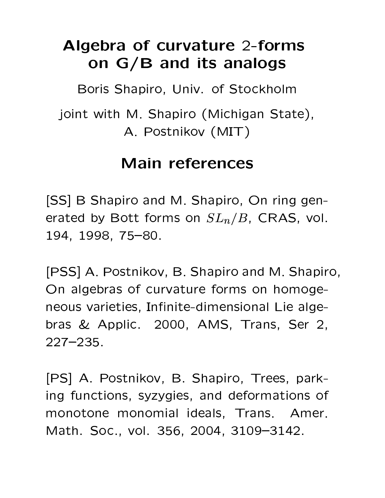# Algebra of curvature 2-forms on G/B and its analogs

Boris Shapiro, Univ. of Stockholm

joint with M. Shapiro (Michigan State), A. Postnikov (MIT)

### **Main references**

[SS] B Shapiro and M. Shapiro, On ring generated by Bott forms on  $SL_n/B$ , CRAS, vol. 194, 1998, 75-80.

[PSS] A. Postnikov, B. Shapiro and M. Shapiro, On algebras of curvature forms on homogeneous varieties, Infinite-dimensional Lie algebras & Applic. 2000, AMS, Trans, Ser 2,  $227 - 235$ .

[PS] A. Postnikov, B. Shapiro, Trees, parking functions, syzygies, and deformations of monotone monomial ideals, Trans. Amer. Math. Soc., vol. 356, 2004, 3109-3142.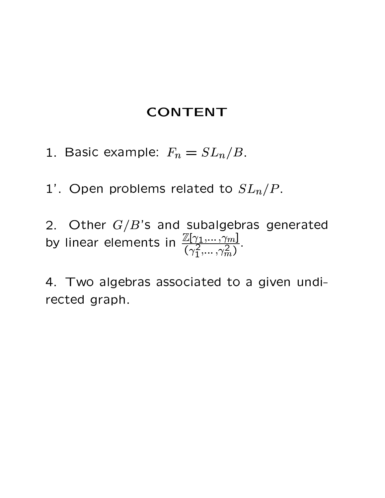#### **CONTENT**

- 1. Basic example:  $F_n = SL_n/B$ .
- 1'. Open problems related to  $SL_n/P$ .
- 2. Other  $G/B$ 's and subalgebras generated<br>by linear elements in  $\frac{\mathbb{Z}[\gamma_1,...,\gamma_m]}{(\gamma_1^2,...,\gamma_m^2)}$ .

4. Two algebras associated to a given undirected graph.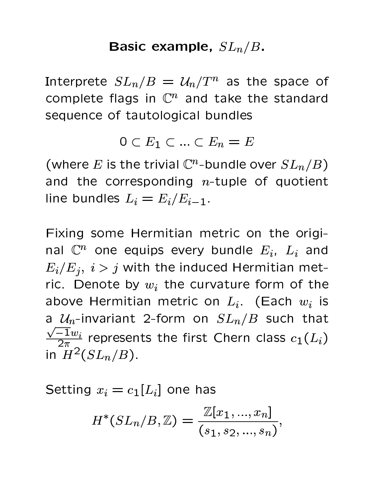#### $\sim$  . As a set of the contract of the contract of the contract of the contract of the contract of the contract of the contract of the contract of the contract of the contract of the contract of the contract of the contra

Interprete  $SL_n/B \,=\, \mathcal{U}_n/T^n$  as the space of complete flags in  $\mathbb{C}^n$  and take the standard sequence of tautological bundles

$$
0 \subset E_1 \subset \ldots \subset E_n = E
$$

 $\left( \begin{array}{ccc} 0 & \cdots & \cdots & \cdots \end{array} \right)$ and the corresponding  $n$ -tuple of quotient  $\qquad \qquad$ line bundles  $L_i = E_i/E_{i-1}$ .

Fixing some Hermitian metric on the original  $\mathbb{C}^n$  one equips every bundle  $E_i$ ,  $L_i$  and  $E_i/E_j$ ,  $i > j$  with the induced Hermitian metric. Denote by  $w_i$  the curvature form of the above Hermitian metric on  $L_i$ . (Each  $w_i$  is a  $\mathcal{U}_n$ -invariant 2-form on  $SL_n/B$  such that  $\frac{\sqrt{-1}w_i}{2\pi}$  represents the first Chern class  $c_1(L_i)$ in  $H^2(SL_n/B)$ .

Setting  $x_i = c_1 [L_i]$  one has

$$
H^*(SL_n/B, \mathbb{Z}) = \frac{\mathbb{Z}[x_1, ..., x_n]}{(s_1, s_2, ..., s_n)},
$$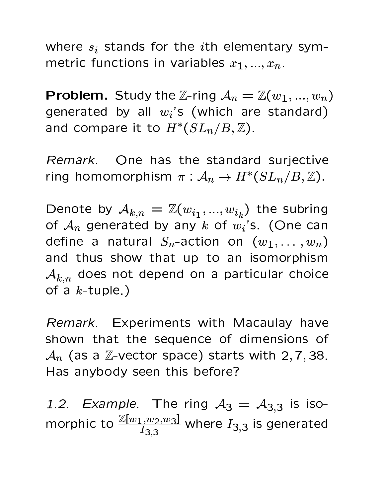where  $s_i$  stands for the *i*th elementary symmetric functions in variables  $x_1, ..., x_n$ .

**Problem.** Study the Z-ring  $A_n = \mathbb{Z}(w_1, ..., w_n)$ generated by all  $w_i$ 's (which are standard) and compare it to  $H^*(SL_n/B, \mathbb{Z})$ .

Remark. One has the standard surjective ring homomorphism  $\pi : A_n \to H^*(SL_n/B, \mathbb{Z})$ .

Denote by  $\mathcal{A}_{k,n} = \mathbb{Z}(w_{i_1},...,w_{i_k})$  the subring of  $A_n$  generated by any k of  $w_i$ 's. (One can define a natural  $S_n$ -action on  $(w_1, \ldots, w_n)$ and thus show that up to an isomorphism  $\mathcal{A}_{k,n}$  does not depend on a particular choice of a  $k$ -tuple.)

Remark. Experiments with Macaulay have shown that the sequence of dimensions of  $\mathcal{A}_n$  (as a Z-vector space) starts with 2, 7, 38. Has anybody seen this before?

1.2. Example. The ring  $A_3 = A_{3,3}$  is isomorphic to  $\frac{\mathbb{Z}[w_1,w_2,w_3]}{I_3}$  where  $I_{3,3}$  is generated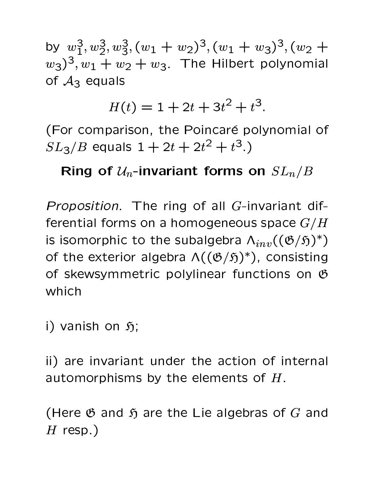by  $w_1^3, w_2^3, w_3^3, (w_1 + w_2)^3, (w_1 + w_3)^3, (w_2 + w_3)^3$  $(w_3)^3, w_1 + w_2 + w_3$ . The Hilbert polynomial of  $A_3$  equals

 $H(t) = 1 + 2t + 3t^2 + t^3$ .

(For comparison, the Poincaré polynomial of  $SL_3/B$  equals  $1 + 2t + 2t^2 + t^3$ .)

### Ring of  $\mathcal{U}_n$ -invariant forms on  $SL_n/B$

Proposition. The ring of all G-invariant differential forms on a homogeneous space  $G/H$ is isomorphic to the subalgebra  $\Lambda_{inv}((\mathfrak{G}/\mathfrak{H})^*)$ of the exterior algebra  $\Lambda((\mathfrak{G}/\mathfrak{H})^*)$ , consisting of skewsymmetric polylinear functions on  $6$ which

i) vanish on  $\mathfrak{H}$ ;

ii) are invariant under the action of internal automorphisms by the elements of  $H$ .

(Here  $\mathfrak G$  and  $\mathfrak H$  are the Lie algebras of G and  $H$  resp.)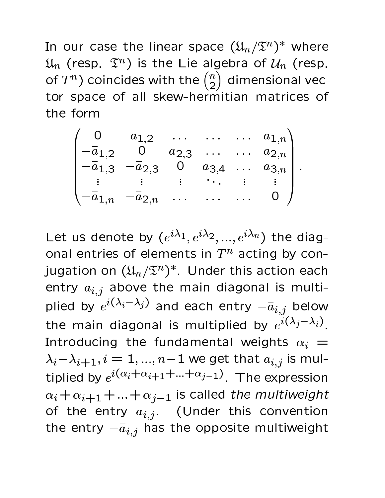In our case the linear space  $(\mathfrak{U}_n/\mathfrak{T}^n)^*$  where  $\mathfrak{U}_n$  (resp.  $\mathfrak{T}^n$ ) is the Lie algebra of  $\mathcal{U}_n$  (resp. of  $T^n$ ) coincides with the  $\binom{n}{2}$ -dimensional vector space of all skew-hermitian matrices of the form

$$
\begin{pmatrix}\n0 & a_{1,2} & \dots & \dots & a_{1,n} \\
-\bar{a}_{1,2} & 0 & a_{2,3} & \dots & a_{2,n} \\
-\bar{a}_{1,3} & -\bar{a}_{2,3} & 0 & a_{3,4} & \dots & a_{3,n} \\
\vdots & \vdots & \vdots & \ddots & \vdots & \vdots \\
-\bar{a}_{1,n} & -\bar{a}_{2,n} & \dots & \dots & \dots & 0\n\end{pmatrix}.
$$

Let us denote by  $(e^{i\lambda_1}, e^{i\lambda_2}, ..., e^{i\lambda_n})$  the diagonal entries of elements in  $T^n$  acting by conjugation on  $(\mathfrak{U}_n/\mathfrak{T}^n)^*$ . Under this action each entry  $a_{i,j}$  above the main diagonal is multiplied by  $e^{i(\lambda_i-\lambda_j)}$  and each entry  $-\bar{a}_{i,j}$  below the main diagonal is multiplied by  $e^{i(\lambda_j-\lambda_i)}$ . Introducing the fundamental weights  $\alpha_i =$  $\lambda_i - \lambda_{i+1}, i = 1, ..., n-1$  we get that  $a_{i,j}$  is multiplied by  $e^{i(\alpha_i+\alpha_{i+1}+...+\alpha_{j-1})}$ . The expression  $\alpha_i + \alpha_{i+1} + ... + \alpha_{i-1}$  is called the multiweight of the entry  $a_{i,j}$ . (Under this convention the entry  $-\overline{a}_{i,j}$  has the opposite multiweight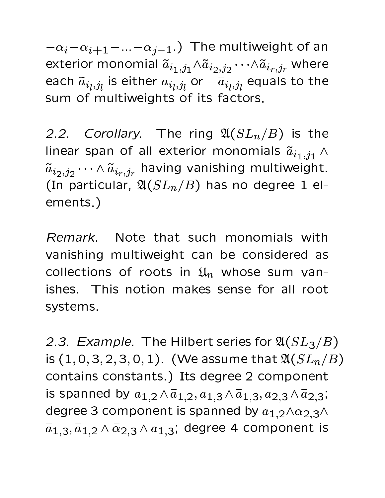$-\alpha_i-\alpha_{i+1}-...-\alpha_{j-1}$ .) The multiweight of an exterior monomial  $\tilde{a}_{i_1,j_1} \wedge \tilde{a}_{i_2,j_2} \cdots \wedge \tilde{a}_{i_r,j_r}$  where each  $\tilde{a}_{i_l,j_l}$  is either  $a_{i_l,j_l}$  or  $-\overline{a}_{i_l,j_l}$  equals to the sum of multiweights of its factors.

2.2. Corollary. The ring  $\mathfrak{A}(SL_n/B)$  is the linear span of all exterior monomials  $\tilde{a}_{i_1,j_1} \wedge$  $\tilde{a}_{i_2,j_2}\cdots \wedge \tilde{a}_{i_r,j_r}$  having vanishing multiweight. (In particular,  $\mathfrak{A}(SL_n/B)$  has no degree 1 elements.)

Remark. Note that such monomials with vanishing multiweight can be considered as collections of roots in  $\mathfrak{U}_n$  whose sum vanishes. This notion makes sense for all root systems.

2.3. Example. The Hilbert series for  $\mathfrak{A}(SL_3/B)$ is  $(1, 0, 3, 2, 3, 0, 1)$ . (We assume that  $\mathfrak{A}(SL_n/B)$ contains constants.) Its degree 2 component is spanned by  $a_{1,2} \wedge \bar{a}_{1,2}$ ,  $a_{1,3} \wedge \bar{a}_{1,3}$ ,  $a_{2,3} \wedge \bar{a}_{2,3}$ ; degree 3 component is spanned by  $a_{1,2} \wedge a_{2,3} \wedge$  $\bar{a}_{1,3}, \bar{a}_{1,2} \wedge \bar{\alpha}_{2,3} \wedge a_{1,3}$ ; degree 4 component is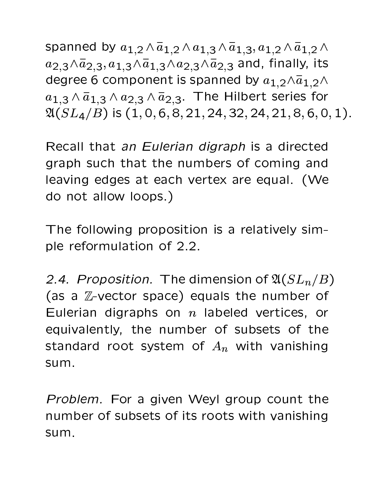spanned by  $a_{1,2} \wedge \overline{a}_{1,2} \wedge a_{1,3} \wedge \overline{a}_{1,3}, a_{1,2} \wedge \overline{a}_{1,2} \wedge$  $a_{2,3} \wedge \overline{a}_{2,3}, a_{1,3} \wedge \overline{a}_{1,3} \wedge a_{2,3} \wedge \overline{a}_{2,3}$  and, finally, its degree 6 component is spanned by  $a_{1,2} \wedge \overline{a}_{1,2} \wedge$  $a_{1,3} \wedge \overline{a}_{1,3} \wedge a_{2,3} \wedge \overline{a}_{2,3}$ . The Hilbert series for  $\mathfrak{A}(SL_4/B)$  is  $(1, 0, 6, 8, 21, 24, 32, 24, 21, 8, 6, 0, 1)$ .

Recall that an Eulerian digraph is a directed graph such that the numbers of coming and leaving edges at each vertex are equal. (We do not allow loops.)

The following proposition is a relatively simple reformulation of 2.2.

2.4. Proposition. The dimension of  $\mathfrak{A}(SL_n/B)$ (as a Z-vector space) equals the number of Eulerian digraphs on  $n$  labeled vertices, or equivalently, the number of subsets of the standard root system of  $A_n$  with vanishing sum.

Problem. For a given Weyl group count the number of subsets of its roots with vanishing sum.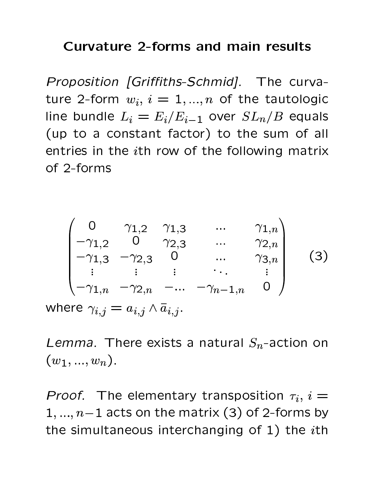#### **Curvature 2-forms and main results**

Proposition [Griffiths-Schmid]. The curvature 2-form  $w_i$ ,  $i = 1,...,n$  of the tautologic line bundle  $L_i = E_i/E_{i-1}$  over  $SL_n/B$  equals (up to a constant factor) to the sum of all entries in the *i*th row of the following matrix of 2-forms

$$
\begin{pmatrix}\n0 & \gamma_{1,2} & \gamma_{1,3} & \dots & \gamma_{1,n} \\
-\gamma_{1,2} & 0 & \gamma_{2,3} & \dots & \gamma_{2,n} \\
-\gamma_{1,3} & -\gamma_{2,3} & 0 & \dots & \gamma_{3,n} \\
\vdots & \vdots & \vdots & \ddots & \vdots \\
-\gamma_{1,n} & -\gamma_{2,n} & -\dots & -\gamma_{n-1,n} & 0\n\end{pmatrix}
$$
\n(3)  
\nwhere  $\gamma_{i,j} = a_{i,j} \wedge \bar{a}_{i,j}$ .

Lemma. There exists a natural  $S_n$ -action on  $(w_1, ..., w_n).$ 

*Proof.* The elementary transposition  $\tau_i$ ,  $i =$  $1, ..., n-1$  acts on the matrix (3) of 2-forms by the simultaneous interchanging of 1) the *ith*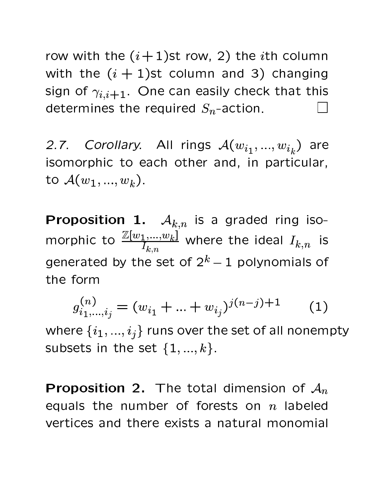row with the  $(i+1)$ st row, 2) the *i*th column with the  $(i + 1)$ st column and 3) changing sign of  $\gamma_{i,i+1}$ . One can easily check that this determines the required  $S_n$ -action.

2.7. Corollary. All rings  $A(w_{i_1},...,w_{i_k})$  are isomorphic to each other and, in particular, to  $\mathcal{A}(w_1, ..., w_k)$ .

**Proposition 1.**  $A_{k,n}$  is a graded ring isomorphic to  $\frac{\mathbb{Z}[w_1,...,w_k]}{I_{k,n}}$  where the ideal  $I_{k,n}$  is generated by the set of  $2^k - 1$  polynomials of the form

$$
g_{i_1,\dots,i_j}^{(n)} = (w_{i_1} + \dots + w_{i_j})^{j(n-j)+1} \qquad (1)
$$

where  $\{i_1, ..., i_j\}$  runs over the set of all nonempty subsets in the set  $\{1,...,k\}$ .

**Proposition 2.** The total dimension of  $A_n$ equals the number of forests on  $n$  labeled vertices and there exists a natural monomial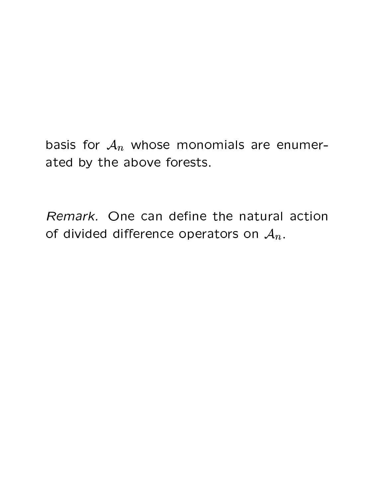basis for  $A_n$  whose monomials are enumerated by the above forests.

Remark. One can define the natural action of divided difference operators on  $A_n$ .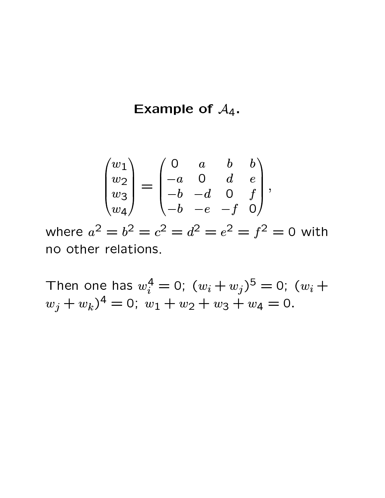#### Example of  $A_4$ .

$$
\begin{pmatrix} w_1 \\ w_2 \\ w_3 \\ w_4 \end{pmatrix} = \begin{pmatrix} 0 & a & b & b \\ -a & 0 & d & e \\ -b & -d & 0 & f \\ -b & -e & -f & 0 \end{pmatrix},
$$

where  $a^2 = b^2 = c^2 = d^2 = e^2 = f^2 = 0$  with no other relations.

Then one has  $w_i^4 = 0$ ;  $(w_i + w_j)^5 = 0$ ;  $(w_i +$  $w_j + w_k$ <sup>4</sup> = 0;  $w_1 + w_2 + w_3 + w_4 = 0$ .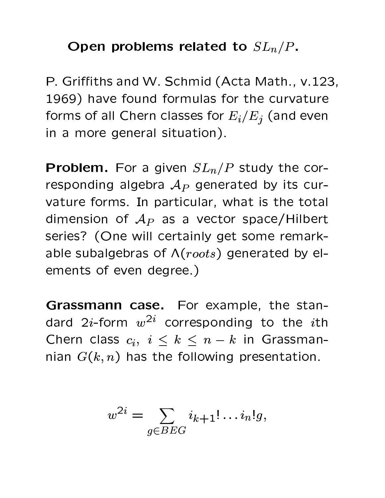Open problems related to  $SL_n/P$ .

P. Griffiths and W. Schmid (Acta Math., v.123, 1969) have found formulas for the curvature forms of all Chern classes for  $E_i/E_j$  (and even in a more general situation).

**Problem.** For a given  $SL_n/P$  study the corresponding algebra  $A_P$  generated by its curvature forms. In particular, what is the total dimension of  $A_P$  as a vector space/Hilbert series? (One will certainly get some remarkable subalgebras of  $\Lambda (roots)$  generated by elements of even degree.)

Grassmann case. For example, the standard 2*i*-form  $w^{2i}$  corresponding to the *i*th Chern class  $c_i, i \leq k \leq n-k$  in Grassmannian  $G(k, n)$  has the following presentation.

$$
w^{2i} = \sum_{g \in BEG} i_{k+1}! \dots i_n!g,
$$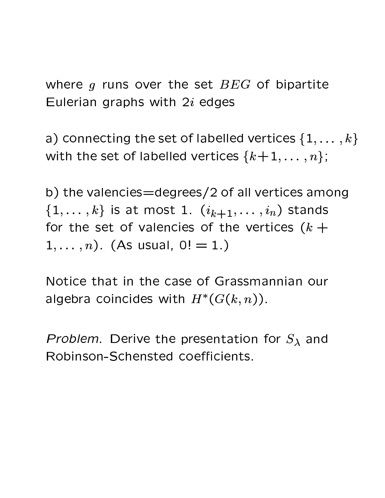where  $q$  runs over the set  $BEG$  of bipartite Eulerian graphs with  $2i$  edges

a) connecting the set of labelled vertices  $\{1,\ldots,k\}$ with the set of labelled vertices  $\{k+1,\ldots,n\}$ ;

b) the valencies = degrees/2 of all vertices among  $\{1,\ldots,k\}$  is at most 1.  $(i_{k+1},\ldots,i_n)$  stands for the set of valencies of the vertices  $(k +$  $1, \ldots, n$ ). (As usual,  $0! = 1.$ )

Notice that in the case of Grassmannian our algebra coincides with  $H^*(G(k,n))$ .

*Problem.* Derive the presentation for  $S_\lambda$  and Robinson-Schensted coefficients.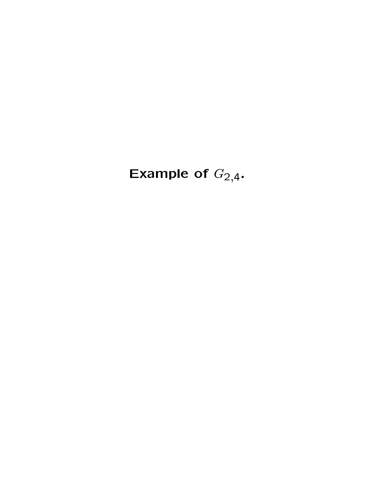Example of  $G_{2,4}$ .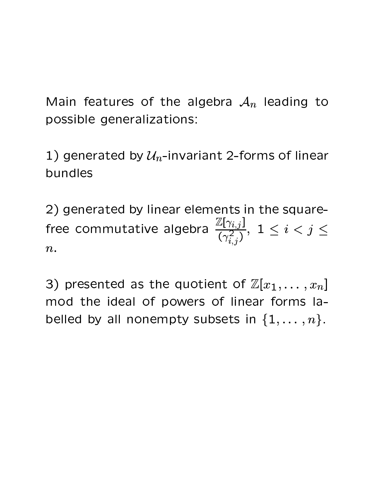Main features of the algebra  $A_n$  leading to possible generalizations:

1) generated by  $\mathcal{U}_n$ -invariant 2-forms of linear bundles

2) generated by linear elements in the squarefree commutative algebra  $\frac{\mathbb{Z}[\gamma_{i,j}]}{(\gamma_{i,j}^2)}$ ,  $1 \leq i < j \leq 1$  $\overline{n}$ .

3) presented as the quotient of  $\mathbb{Z}[x_1,\ldots,x_n]$ mod the ideal of powers of linear forms labelled by all nonempty subsets in  $\{1,\ldots,n\}$ .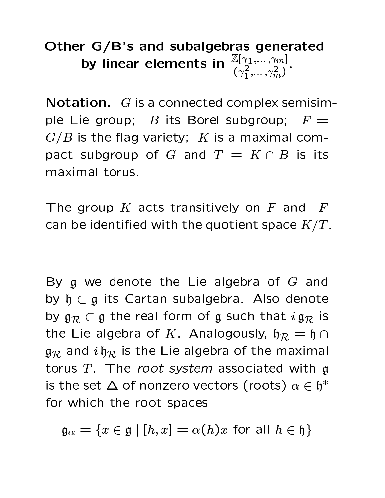# Other G/B's and subalgebras generated by linear elements in  $\frac{\mathbb{Z}[\gamma_1,\dots,\gamma_m]}{(\gamma_1^2,\dots,\gamma_m^2)}$ .

**Notation.**  $G$  is a connected complex semisimple Lie group; B its Borel subgroup;  $F =$  $G/B$  is the flag variety; K is a maximal compact subgroup of G and  $T = K \cap B$  is its maximal torus.

The group  $K$  acts transitively on  $F$  and  $\bm{F}$ can be identified with the quotient space  $K/T$ .

By  $\mathfrak g$  we denote the Lie algebra of  $G$  and by  $\mathfrak{h} \subset \mathfrak{g}$  its Cartan subalgebra. Also denote by  $\mathfrak{g}_{\mathcal{R}} \subset \mathfrak{g}$  the real form of g such that  $ig_{\mathcal{R}}$  is the Lie algebra of K. Analogously,  $\mathfrak{h}_R = \mathfrak{h} \cap$  $\mathfrak{g}_{\mathcal{R}}$  and  $i\mathfrak{h}_{\mathcal{R}}$  is the Lie algebra of the maximal torus  $T$ . The root system associated with  $\mathfrak g$ is the set  $\Delta$  of nonzero vectors (roots)  $\alpha \in \mathfrak{h}^*$ for which the root spaces

 $\mathfrak{g}_{\alpha} = \{x \in \mathfrak{g} \mid [h, x] = \alpha(h)x$  for all  $h \in \mathfrak{h}\}\$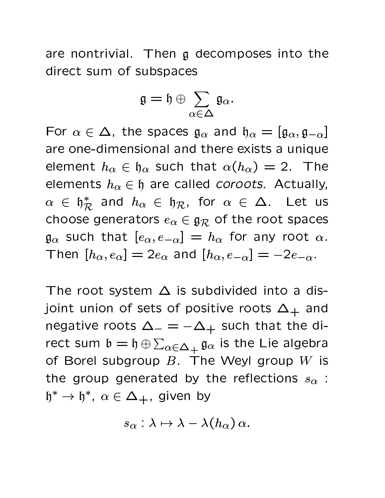are nontrivial. Then g decomposes into the direct sum of subspaces

$$
\mathfrak{g}=\mathfrak{h}\oplus\sum_{\alpha\in\Delta}\mathfrak{g}_{\alpha}.
$$

For  $\alpha \in \Delta$ , the spaces  $\mathfrak{g}_{\alpha}$  and  $\mathfrak{h}_{\alpha} = [\mathfrak{g}_{\alpha}, \mathfrak{g}_{-\alpha}]$ are one-dimensional and there exists a unique element  $h_{\alpha} \in \mathfrak{h}_{\alpha}$  such that  $\alpha(h_{\alpha}) = 2$ . The elements  $h_{\alpha} \in \mathfrak{h}$  are called *coroots*. Actually,  $\alpha \in \mathfrak{h}_\mathcal{R}^*$  and  $h_\alpha \in \mathfrak{h}_\mathcal{R}$ , for  $\alpha \in \Delta$ . Let us choose generators  $e_{\alpha} \in \mathfrak{g}_{\mathcal{R}}$  of the root spaces  $\mathfrak{g}_{\alpha}$  such that  $[e_{\alpha},e_{-\alpha}]=h_{\alpha}$  for any root  $\alpha$ . Then  $[h_{\alpha},e_{\alpha}]=2e_{\alpha}$  and  $[h_{\alpha},e_{-\alpha}]=-2e_{-\alpha}$ .

The root system  $\Delta$  is subdivided into a disjoint union of sets of positive roots  $\Delta_+$  and negative roots  $\Delta_- = -\Delta_+$  such that the direct sum  $\mathfrak{b} = \mathfrak{h} \oplus \sum_{\alpha \in \Delta_+} \mathfrak{g}_{\alpha}$  is the Lie algebra of Borel subgroup  $B$ . The Weyl group  $W$  is the group generated by the reflections  $s_{\alpha}$ :  $\mathfrak{h}^* \to \mathfrak{h}^*, \ \alpha \in \Delta_+,$  given by

$$
s_\alpha:\lambda\mapsto \lambda-\lambda(h_\alpha)\,\alpha.
$$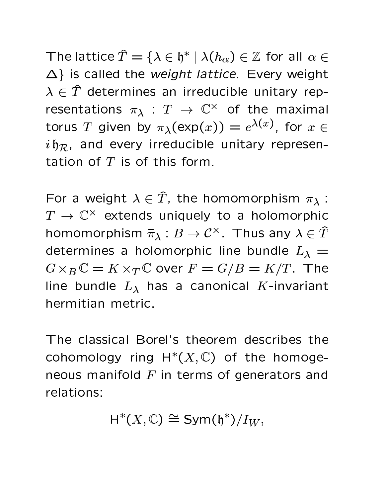The lattice  $\hat{T} = {\lambda \in \mathfrak{h}^* \mid \lambda(h_\alpha) \in \mathbb{Z}}$  for all  $\alpha \in$  $\Delta$ } is called the weight lattice. Every weight  $\lambda \in \hat{T}$  determines an irreducible unitary representations  $\pi_{\lambda}: T \to \mathbb{C}^{\times}$  of the maximal torus T given by  $\pi_{\lambda}(\exp(x)) = e^{\lambda(x)}$ , for  $x \in$  $i \mathfrak{h}_{\mathcal{R}}$ , and every irreducible unitary representation of  $T$  is of this form.

For a weight  $\lambda \in \hat{T}$ , the homomorphism  $\pi_{\lambda}$ :  $T \to \mathbb{C}^\times$  extends uniquely to a holomorphic homomorphism  $\bar{\pi}_{\lambda}: B \to \mathcal{C}^{\times}$ . Thus any  $\lambda \in \hat{T}$ determines a holomorphic line bundle  $L_{\lambda} =$  $G \times_B \mathbb{C} = K \times_T \mathbb{C}$  over  $F = G/B = K/T$ . The line bundle  $L_{\lambda}$  has a canonical K-invariant hermitian metric.

The classical Borel's theorem describes the cohomology ring  $H^*(X,\mathbb{C})$  of the homogeneous manifold  $F$  in terms of generators and relations:

$$
H^*(X,\mathbb{C}) \cong \text{Sym}(\mathfrak{h}^*)/I_W,
$$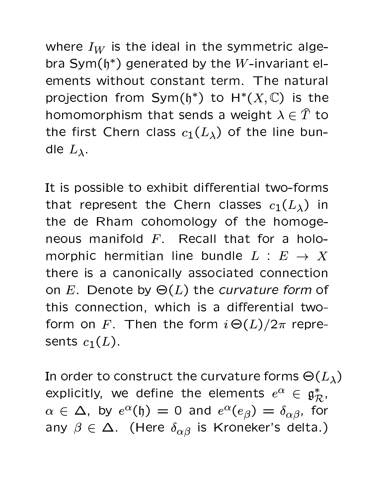where  $I_W$  is the ideal in the symmetric algebra Sym( $h^*$ ) generated by the W-invariant elements without constant term. The natural projection from Sym( $\mathfrak{h}^*$ ) to  $H^*(X,\mathbb{C})$  is the homomorphism that sends a weight  $\lambda \in \hat{T}$  to the first Chern class  $c_1(L_\lambda)$  of the line bundle  $L_{\lambda}$ .

It is possible to exhibit differential two-forms that represent the Chern classes  $c_1(L_\lambda)$  in the de Rham cohomology of the homogeneous manifold F. Recall that for a holomorphic hermitian line bundle  $L : E \rightarrow X$ there is a canonically associated connection on E. Denote by  $\Theta(L)$  the curvature form of this connection, which is a differential twoform on F. Then the form  $i\Theta(L)/2\pi$  represents  $c_1(L)$ .

In order to construct the curvature forms  $\Theta(L_\lambda)$ explicitly, we define the elements  $e^{\alpha} \in \mathfrak{g}_{\mathcal{R}}^*$ ,  $\alpha \in \Delta$ , by  $e^{\alpha}(\mathfrak{h}) = 0$  and  $e^{\alpha}(e_{\beta}) = \delta_{\alpha\beta}$ , for any  $\beta \in \Delta$ . (Here  $\delta_{\alpha\beta}$  is Kroneker's delta.)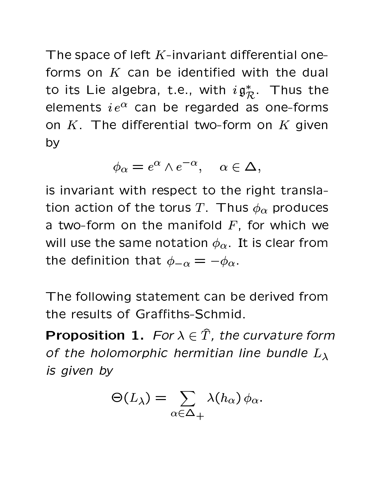The space of left  $K$ -invariant differential oneforms on  $K$  can be identified with the dual to its Lie algebra, t.e., with  $i\mathfrak{g}_{\mathcal{R}}^*$ . Thus the elements  $i e^{\alpha}$  can be regarded as one-forms on  $K$ . The differential two-form on  $K$  given by

$$
\phi_{\alpha} = e^{\alpha} \wedge e^{-\alpha}, \quad \alpha \in \Delta,
$$

is invariant with respect to the right translation action of the torus T. Thus  $\phi_{\alpha}$  produces a two-form on the manifold  $F$ , for which we will use the same notation  $\phi_{\alpha}$ . It is clear from the definition that  $\phi_{-\alpha} = -\phi_{\alpha}$ .

The following statement can be derived from the results of Graffiths-Schmid.

**Proposition 1.** For  $\lambda \in \hat{T}$ , the curvature form of the holomorphic hermitian line bundle  $L_{\lambda}$ is given by

$$
\Theta(L_{\lambda}) = \sum_{\alpha \in \Delta_+} \lambda(h_{\alpha}) \phi_{\alpha}.
$$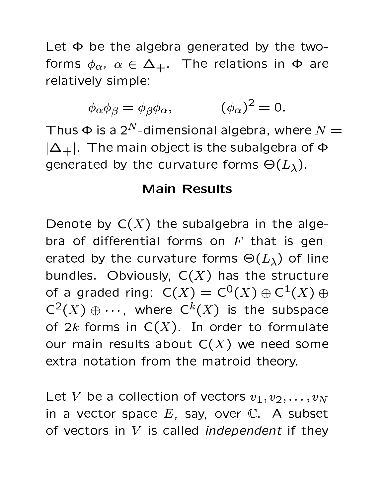Let  $\Phi$  be the algebra generated by the twoforms  $\phi_{\alpha}$ ,  $\alpha \in \Delta_+$ . The relations in  $\Phi$  are relatively simple:

$$
\phi_{\alpha}\phi_{\beta} = \phi_{\beta}\phi_{\alpha}, \qquad \qquad (\phi_{\alpha})^2 = 0.
$$

Thus  $\Phi$  is a 2<sup>N</sup>-dimensional algebra, where  $N=$  $|\Delta_+|$ . The main object is the subalgebra of  $\Phi$ generated by the curvature forms  $\Theta(L_{\lambda})$ .

#### **Main Results**

Denote by  $C(X)$  the subalgebra in the algebra of differential forms on  $F$  that is generated by the curvature forms  $\Theta(L_{\lambda})$  of line bundles. Obviously,  $C(X)$  has the structure of a graded ring:  $C(X) = C^0(X) \oplus C^1(X) \oplus$  $C^2(X) \oplus \cdots$ , where  $C^k(X)$  is the subspace of  $2k$ -forms in  $C(X)$ . In order to formulate our main results about  $C(X)$  we need some extra notation from the matroid theory.

Let V be a collection of vectors  $v_1, v_2, \ldots, v_N$ in a vector space  $E$ , say, over  $\mathbb{C}$ . A subset of vectors in V is called independent if they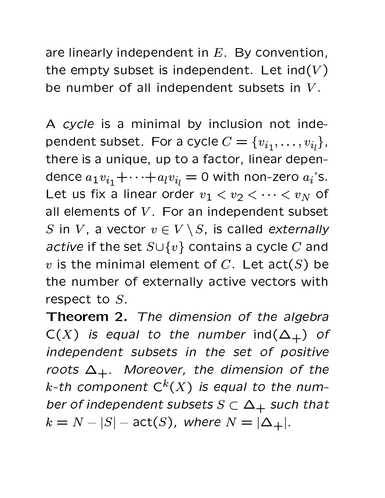are linearly independent in  $E$ . By convention, the empty subset is independent. Let  $ind(V)$ be number of all independent subsets in  $V$ .

A cycle is a minimal by inclusion not independent subset. For a cycle  $C = \{v_{i_1}, \ldots, v_{i_l}\}\,$ there is a unique, up to a factor, linear dependence  $a_1v_{i_1} + \cdots + a_lv_{i_l} = 0$  with non-zero  $a_i$ 's. Let us fix a linear order  $v_1 < v_2 < \cdots < v_N$  of all elements of V. For an independent subset S in V, a vector  $v \in V \setminus S$ , is called externally active if the set  $S \cup \{v\}$  contains a cycle C and v is the minimal element of C. Let  $act(S)$  be the number of externally active vectors with respect to  $S$ .

Theorem 2. The dimension of the algebra  $C(X)$  is equal to the number ind $(\Delta_+)$  of independent subsets in the set of positive roots  $\Delta_+$ . Moreover, the dimension of the k-th component  $C^k(X)$  is equal to the number of independent subsets  $S \subset \Delta_+$  such that  $k = N - |S|$  - act(S), where  $N = |\Delta_+|$ .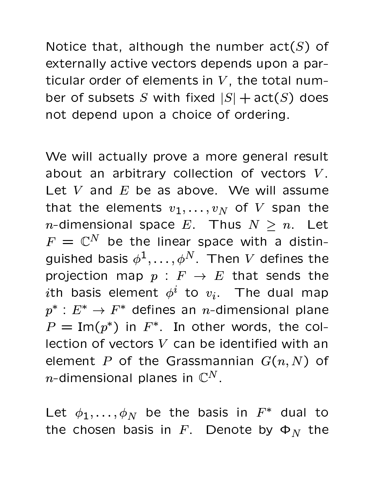$\mathsf{A}$  is the set of the set of  $\mathsf{A}$  . The set of  $\mathsf{A}$  is the set of  $\mathsf{A}$  is  $\mathsf{A}$  is the set of  $\mathsf{A}$ externally active vectors depends upon a par-A 3  $\pm$  3  $\pm$  3  $\pm$  6  $\pm$  3  $\pm$  3  $\pm$  3  $\pm$  3  $\pm$  3  $\pm$  4  $\pm$  3  $\pm$  4  $\pm$  3  $\pm$  3  $\pm$  3  $\pm$  3  $\pm$  3  $\pm$  3  $\pm$  3  $\pm$  3  $\pm$  3  $\pm$  3  $\pm$  3  $\pm$  3  $\pm$  3  $\pm$  3  $\pm$  3  $\pm$  3  $\pm$  3  $\pm$  3  $\pm$  3  $\pm$  3  $\blacksquare$   $\blacksquare$   $\blacksquare$   $\blacksquare$   $\blacksquare$   $\blacksquare$   $\blacksquare$   $\blacksquare$   $\blacksquare$   $\blacksquare$   $\blacksquare$   $\blacksquare$   $\blacksquare$   $\blacksquare$   $\blacksquare$   $\blacksquare$   $\blacksquare$   $\blacksquare$   $\blacksquare$   $\blacksquare$   $\blacksquare$   $\blacksquare$   $\blacksquare$   $\blacksquare$   $\blacksquare$ not depend upon a choice of ordering.

 $\mathbf{3} \mathbf{4} \mathbf{1}$  and  $\mathbf{4} \mathbf{1}$  and  $\mathbf{4} \mathbf{1}$  and  $\mathbf{4} \mathbf{1}$  and  $\mathbf{4} \mathbf{1}$  and  $\mathbf{4} \mathbf{1}$  and  $\mathbf{4} \mathbf{1}$  and  $\mathbf{4} \mathbf{1}$  and  $\mathbf{4} \mathbf{1}$  and  $\mathbf{4} \mathbf{1}$  and  $\mathbf{4} \mathbf{1}$  and  $\mathbf{4$ about an arbitrary collection of vectors  $V$ .  $\mathbf{f} = \mathbf{f} \cdot \mathbf{f} \mathbf{f} + \mathbf{f} \cdot \mathbf{f} \mathbf{f} + \mathbf{f} \cdot \mathbf{f} \mathbf{f} + \mathbf{f} \cdot \mathbf{f} \mathbf{f} + \mathbf{f} \cdot \mathbf{f} \mathbf{f} \mathbf{f} + \mathbf{f} \cdot \mathbf{f} \mathbf{f} \mathbf{f} + \mathbf{f} \cdot \mathbf{f} \mathbf{f} \mathbf{f} + \mathbf{f} \cdot \mathbf{f} \mathbf{f} \mathbf{f} \mathbf{f} + \mathbf{f} \cdot \mathbf{f} \$  $A \rightarrow A$  . A construction of the construction of the construction of the construction of the construction of the construction of the construction of the construction of the construction of the construction of the constructi , 8 " <sup>7</sup> 0@ <sup>4</sup> <sup>A</sup>  $\mathbb{R}$  Thug  $N \setminus \mathbb{R}$  at  $\mathbb{R}$  $\overline{R}$   $\overline{a}N$   $\overline{a}$   $\overline{a}$   $\overline{a}$   $\overline{a}$   $\overline{a}$   $\overline{a}$   $\overline{a}$   $\overline{a}$   $\overline{a}$   $\overline{a}$   $\overline{a}$   $\overline{a}$   $\overline{a}$   $\overline{a}$   $\overline{a}$   $\overline{a}$   $\overline{a}$   $\overline{a}$   $\overline{a}$   $\overline{a}$   $\overline{a}$   $\overline{a}$   $\overline$ ! 3 # @ 3  ,  <sup>4</sup> <sup>7</sup> # 4 <sup>A</sup>  $\mathcal{O}(\mathcal{A})$  and  $\mathcal{O}(\mathcal{A})$  and  $\mathcal{O}(\mathcal{A})$  and  $\mathcal{O}(\mathcal{A})$  and  $\mathcal{O}(\mathcal{A})$  and  $\mathcal{O}(\mathcal{A})$  and  $\mathcal{O}(\mathcal{A})$  $\blacksquare$  . A set of the set of the set of the set of the set of the set of the set of the set of the set of the set of the set of the set of the set of the set of the set of the set of the set of the set of the set of the s <sup>9</sup> \$ # 4 @ <sup>4</sup> <sup>3</sup> # <sup>3</sup>- <sup>4</sup> <sup>3</sup> 4@ 0 @ 4  $\overline{D}$   $\overline{1}$   $\overline{4}$   $\overline{1}$   $\overline{2}$   $\overline{1}$   $\overline{2}$   $\overline{1}$   $\overline{2}$   $\overline{1}$   $\overline{2}$   $\overline{1}$   $\overline{2}$   $\overline{1}$   $\overline{2}$   $\overline{1}$   $\overline{2}$   $\overline{1}$   $\overline{2}$   $\overline{1}$   $\overline{2}$   $\overline{1}$   $\overline{2}$   $\overline{1}$   $\overline{$  $\mathbf{A} = \mathbf{A} \cdot \mathbf{A} + \mathbf{A} \cdot \mathbf{A} + \mathbf{A} \cdot \mathbf{A} + \mathbf{A} \cdot \mathbf{A} + \mathbf{A} \cdot \mathbf{A} + \mathbf{A} \cdot \mathbf{A} + \mathbf{A} \cdot \mathbf{A} + \mathbf{A} \cdot \mathbf{A} + \mathbf{A} \cdot \mathbf{A} + \mathbf{A} \cdot \mathbf{A} + \mathbf{A} \cdot \mathbf{A} + \mathbf{A} \cdot \mathbf{A} + \mathbf{A} \cdot \mathbf{A} + \mathbf{A} \cdot \mathbf{A} + \mathbf$  - 4A " <sup>A</sup> @ -@ <sup>4</sup> 43@ <sup>4</sup> <sup>=</sup> "  $\mathcal{A}$  isoperator and plane as in  $\mathcal{N}$ 

discussion of the contract of the contract of the contract of the contract of the contract of the contract of ,  $A$  and  $A$  34  $\pm$  34  $\pm$  34  $\pm$  34  $\pm$  34  $\pm$  34  $\pm$  34  $\pm$  34  $\pm$  34  $\pm$  34  $\pm$  34  $\pm$ the chosen basis in F. Denote by  $\Phi_N$  the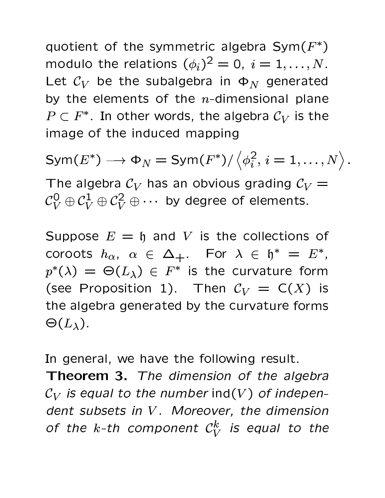$\alpha$  and  $\alpha$  is a set of the set of  $\alpha$  and  $\alpha$  are  $\alpha$  and  $\alpha$  are  $\alpha$   $\alpha$  if  $\alpha$  $\blacksquare$  . The state of the state  $\Lambda$  is the state of  $\Lambda$   $\Lambda$  $\mathbf{f}$  and  $\mathbf{f}$  are  $\mathbf{f}$  . The set of the set of a set of a set of a set of a set of a set of a set of a set of a set of a set of a set of a set of a set of a set of a set of a set of a set of a set of a set of  $\mathsf{A}$  $\mathbf{D}$  and  $\mathbf{F}$  is the set of  $\mathbf{A}$  and  $\mathbf{A}$  and  $\mathbf{A}$  and  $\mathbf{A}$ 3-a de maio de 1930, a 1940, a 1940, a 1940, a 1940, a 1940, a 1940, a 1940, a 1940, a 1940, a 1940, a 1940, a

- <sup>9</sup> > - \$  <sup>=</sup>

 @ ! @ @ @ <sup>4</sup> <sup>3</sup> ! @# <sup>34</sup>!  $\mathcal{A}^{\dagger}$   $\mathcal{A}^{\dagger}$   $\mathcal{A}^{\dagger}$   $\mathcal{A}^{\dagger}$   $\mathcal{A}^{\dagger}$   $\mathcal{A}^{\dagger}$   $\mathcal{A}^{\dagger}$   $\mathcal{A}^{\dagger}$   $\mathcal{A}^{\dagger}$   $\mathcal{A}^{\dagger}$   $\mathcal{A}^{\dagger}$   $\mathcal{A}^{\dagger}$   $\mathcal{A}^{\dagger}$   $\mathcal{A}^{\dagger}$   $\mathcal{A}^{\dagger}$   $\mathcal{A}^{\dagger$ 

Suppose  $E = \mathfrak{h}$  and V is the collections of  $\blacksquare$  . The  $\blacksquare$  . The  $\blacksquare$  . The  $\blacksquare$  . The  $\blacksquare$  . The  $\blacksquare$  . The  $\blacksquare$  . The  $\blacksquare$  . The  $\blacksquare$  . The  $\blacksquare$  . The  $\blacksquare$  . The  $\blacksquare$  . The  $\blacksquare$  . The  $\blacksquare$  . The  $\blacksquare$  . The  $\blacksquare$  . The  $\blacksquare$  . The  $p^*(\lambda) \ = \ \Theta(L_\lambda) \ \in \ F^*$  is the curvature form  $\mathcal{L}$  . The set of  $\mathcal{L}$  and  $\mathcal{L}$  and  $\mathcal{L}$  and  $\mathcal{L}$  and  $\mathcal{L}$  and  $\mathcal{L}$  and  $\mathcal{L}$  and  $\mathcal{L}$  and  $\mathcal{L}$  and  $\mathcal{L}$  and  $\mathcal{L}$  and  $\mathcal{L}$  and  $\mathcal{L}$  and  $\mathcal{L}$  and  $\mathcal{L}$  and  $\mathcal$ A harmonic contribution of  $\mathbf{A}$  . The set of  $\mathbf{A}$  is a set of  $\mathbf{A}$  and  $\mathbf{A}$  are  $\mathbf{A}$  -formulation of  $\mathbf{A}$  $\Theta(L_\lambda)$ .

 $\tau$  . The set of the set of the set of the set of the set of the set of the set of the set of the set of the set of the set of the set of the set of the set of the set of the set of the set of the set of the set of the s

**Theorem 3.** The dimension of the algebra  $\mathcal{C}_V$  is equal to the number ind(V) of independent subsets in  $V$ . Moreover, the dimension  $\mathcal{L}$  the 1 th second  $\mathcal{L}$   $\mathcal{L}$   $\mathcal{L}$  is a set  $\mathcal{L}$   $\mathcal{L}$   $\mathcal{L}$   $\mathcal{L}$   $\mathcal{L}$   $\mathcal{L}$   $\mathcal{L}$   $\mathcal{L}$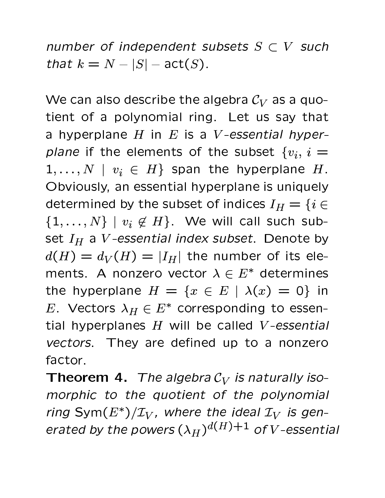number of independent subsets  $S \subset V$  such that  $k = N - |S| - \text{act}(S)$ .

We can also describe the algebra  $C_V$  as a quo-<sup>A</sup> 3 4A " @ 0 <sup>4</sup> - 3@ 34! 6A @ <sup>A</sup> @A  $\mathbf{1}$  and  $\mathbf{1}$  and  $\mathbf{1}$  and  $\mathbf{1}$  and  $\mathbf{1}$  and  $\mathbf{1}$  and  $\mathbf{1}$  and  $\mathbf{1}$  and  $\mathbf{1}$  and  $\mathbf{1}$  and  $\mathbf{1}$  and  $\mathbf{1}$  and  $\mathbf{1}$  and  $\mathbf{1}$  and  $\mathbf{1}$  and  $\mathbf{1}$  and  $\mathbf{1}$  and  $\overline{a}$  and  $\overline{a}$  and  $\overline{a}$  and  $\overline{a}$  and  $\overline{a}$  and  $\overline{a}$  and  $\overline{a}$  and  $\overline{a}$  and  $\overline{a}$  and  $\overline{a}$  and  $\overline{a}$  and  $\overline{a}$  and  $\overline{a}$  and  $\overline{a}$  and  $\overline{a}$  and  $\overline{a}$  and  $\overline{a}$  and  $1, \ldots, N \mid v_i \in H \}$  span the hyperplane H. Obviously, an essential hyperplane is uniquely  $A$  and  $A$  and  $A$  are a strong of the strong of the strong strong  $\mathcal{I}$  and  $\mathcal{I}$  are a strong strong strong strong strong strong strong strong strong strong strong strong strong strong strong strong strong strong  $\begin{array}{ccc} \text{f} & \text{f} & \text{f} & \text{f} & \text{f} & \text{f} & \text{f} & \text{f} & \text{f} & \text{f} & \text{f} & \text{f} & \text{f} & \text{f} & \text{f} & \text{f} & \text{f} & \text{f} & \text{f} & \text{f} & \text{f} & \text{f} & \text{f} & \text{f} & \text{f} & \text{f} & \text{f} & \text{f} & \text{f} & \text{f} & \text{f} & \text{f} & \text{f} & \text{f} & \text{f} & \text{$  $\mathbf{1}$   $\mathbf{1}$   $\mathbf{1}$   $\mathbf{1}$   $\mathbf{1}$   $\mathbf{1}$   $\mathbf{1}$   $\mathbf{1}$   $\mathbf{1}$   $\mathbf{1}$   $\mathbf{1}$   $\mathbf{1}$   $\mathbf{1}$   $\mathbf{1}$   $\mathbf{1}$   $\mathbf{1}$   $\mathbf{1}$   $\mathbf{1}$   $\mathbf{1}$   $\mathbf{1}$   $\mathbf{1}$   $\mathbf{1}$   $\mathbf{1}$   $\mathbf{1}$   $\mathbf{$  ?-? <sup>A</sup> <sup>4</sup> - " 3A 3  $\mathbf{A}$  and  $\mathbf{A}$  and  $\mathbf{A}$  and  $\mathbf{A}$  and  $\mathbf{A}$  and  $\mathbf{A}$  and  $\mathbf{A}$  and  $\mathbf{A}$  and  $\mathbf{A}$  and  $\mathbf{A}$  and  $\mathbf{A}$  and  $\mathbf{A}$  and  $\mathbf{A}$  and  $\mathbf{A}$  and  $\mathbf{A}$  and  $\mathbf{A}$  and  $\mathbf{A}$  and  $\mathbf{H} \mathbf{U} = \mathbf{H} \mathbf{U}$ <sup>9</sup> %A - <sup>9</sup> % <sup>0</sup> <sup>4</sup># <sup>34</sup>! <sup>A</sup> <sup>4</sup><sup>3</sup> tial hyperplanes  $H$  will be called  $V$ -essential <sup>=</sup> <sup>&</sup>gt;-, @ # 4 # <sup>0</sup> <sup>A</sup> @ <sup>4</sup> <sup>4</sup> " and " and " and " and " and " and " and " and " and " and " and " and " and " and " and " and " and " and "

**Theorem 4.** The algebra  $\mathcal{C}_V$  is naturally iso- $\mathcal{L} = \mathcal{L} + \mathcal{L}$  , and the set of  $\mathcal{L} = \mathcal{L} + \mathcal{L}$  . It is the set of  $\mathcal{L} = \mathcal{L} + \mathcal{L}$  $\mathcal{L} = \mathcal{L} \cap \mathcal{L}$   $\mathcal{L} = \mathcal{L} \cap \mathcal{L}$  $\overline{a}$ ,  $\overline{a}$ ,  $\overline{a}$ ,  $\overline{a}$ ,  $\overline{a}$ ,  $\overline{a}$ ,  $\overline{a}$ ,  $\overline{a}$ ,  $\overline{a}$ ,  $\overline{a}$ ,  $\overline{a}$ ,  $\overline{a}$ ,  $\overline{a}$ ,  $\overline{a}$ ,  $\overline{a}$ ,  $\overline{a}$ ,  $\overline{a}$ ,  $\overline{a}$ ,  $\overline{a}$ ,  $\overline{a}$ ,  $\overline{a}$ ,  $\overline{a}$ ,  $\mathbf{r}$  and  $\mathbf{r}$  and  $\mathbf{r}$  and  $\mathbf{r}$  and  $\mathbf{r}$  and  $\mathbf{r}$  and  $\mathbf{r}$  and  $\mathbf{r}$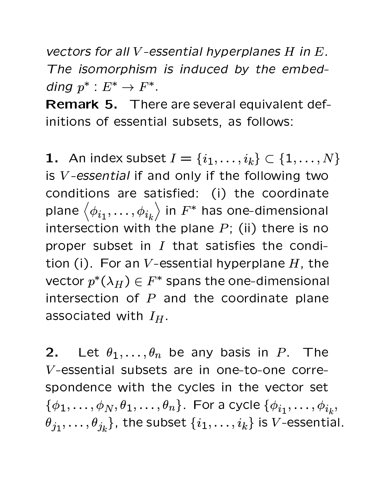<sup>=</sup> <sup>&</sup>gt;-, .- <sup>7</sup> ; =, , <sup>=</sup> <sup>&</sup>gt;<sup>&</sup>lt; )- <sup>7</sup> <sup>=</sup> 7 =, < <sup>9</sup> <sup>8</sup>  $\overline{\mathcal{L}}$  , the set of the set of  $\mathcal{L}$  , the definition of  $\mathcal{L}$  is the set of  $\mathcal{L}$ ding  $p^* : E^* \to F^*$ .

**Remark 5.** There are several equivalent def-<sup>34</sup> 3A <sup>3</sup> <sup>4</sup> " 4A 3@ A ) @ " .

 ${\bf 1.} \;\;$  An index subset  $I = \{i_1, \ldots, i_k\} \subset \{i_1, \ldots, i_k\}$  $, \ldots, i_k \} \subset \{1, \ldots, N\}$ is  $V$ -essential if and only if the following two conditions are satisfied: (i) the coordinate  $\alpha$  , and the set of the set of the set of the set of the set of the set of the set of the set of the set of the set of the set of the set of the set of the set of the set of the set of the set of the set of the set of t  $34.4$  and  $34.4$  and  $34.4$  and  $34.4$   $34.4$   $34.4$   $34.4$   $34.4$   $34.4$   $34.4$   $34.4$   $34.4$   $34.4$   $34.4$   $34.4$   $34.4$   $34.4$   $34.4$   $34.4$   $34.4$   $34.4$   $34.4$   $34.4$   $34.4$   $34.4$   $34.4$   $34.4$   $34.4$   $34.4$   $34.4$ proper subset in  $I$  that satisfies the condition (i). For an V-essential hyperplane  $H$ , the  $\mathbf{A} \mathbf{A} = \mathbf{A} \mathbf{A} + \mathbf{A} \mathbf{A} + \mathbf{A} \mathbf{A} + \mathbf{A} \mathbf{A} + \mathbf{A} \mathbf{A} + \mathbf{A} \mathbf{A} + \mathbf{A} \mathbf{A} + \mathbf{A} \mathbf{A} + \mathbf{A} \mathbf{A} + \mathbf{A} \mathbf{A} + \mathbf{A} \mathbf{A} + \mathbf{A} \mathbf{A} + \mathbf{A} \mathbf{A} + \mathbf{A} \mathbf{A} + \mathbf{A} \mathbf{A} + \mathbf{A} \mathbf{A}$ intersection of  $P$  and the coordinate plane @ % 3@A # . 3A -

**2.** Let  $\theta_1, \ldots, \theta_n$  $\alpha$  and  $\alpha$  is a set of  $\alpha$   $\alpha$   $\alpha$   $\alpha$   $\alpha$ <sup>7</sup> <sup>3</sup> 4A 3@ A @ <sup>34</sup> 4<sup>3</sup> <sup>A</sup> 3 4 % 3 0 <sup>4</sup># 4% . 3A <sup>A</sup> % % <sup>34</sup> <sup>A</sup> %A A  $\sim$  2008  $\sim$  3000  $\sim$  3000  $\sim$  3000  $\sim$  3000  $\sim$  3000  $\sim$  3000  $\sim$  3000  $\sim$  3000  $\sim$  3000  $\sim$ , ,  $\overline{a}$   $\overline{b}$   $\overline{c}$   $\overline{c}$   $\overline{c}$   $\overline{c}$   $\overline{c}$   $\overline{c}$   $\overline{c}$   $\overline{c}$   $\overline{c}$   $\overline{c}$   $\overline{c}$   $\overline{c}$   $\overline{c}$   $\overline{c}$   $\overline{c}$   $\overline{c}$   $\overline{c}$   $\overline{c}$   $\overline{c}$   $\overline{c}$   $\overline{c}$   $\overline{c}$   $\overline{$  ) <sup>A</sup> A ,  $\ldots, i_k$ } is  $V$ -essential.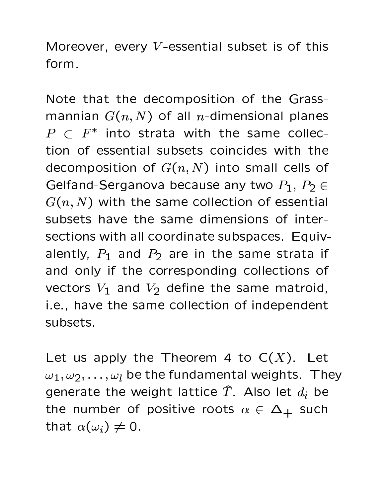$\mathbf{A}$  and a set of  $\mathbf{A}$   $\mathbf{A}$  and  $\mathbf{A}$   $\mathbf{A}$   $\mathbf{A}$   $\mathbf{A}$   $\mathbf{A}$   $\mathbf{A}$   $\mathbf{A}$   $\mathbf{A}$   $\mathbf{A}$   $\mathbf{A}$   $\mathbf{A}$   $\mathbf{A}$   $\mathbf{A}$   $\mathbf{A}$   $\mathbf{A}$   $\mathbf{A}$   $\mathbf{A}$   $\mathbf{A}$   $\mathbf{A}$   $\mathbf{A$ form.

A <sup>A</sup> @A <sup>A</sup> # % - 0 3A <sup>3</sup> <sup>4</sup> " <sup>A</sup> @ 3  $\cos\theta$   $\cos\theta$   $\cos\theta$   $\cos\theta$   $\sin\theta$   $\cos\theta$  $\mathbf{D}$  and  $\mathbf{D}$  and  $\mathbf{D}$  and  $\mathbf{D}$  and  $\mathbf{D}$  and  $\mathbf{D}$  and  $\mathbf{D}$  and  $\mathbf{D}$  and  $\mathbf{D}$  and  $\mathbf{D}$  and  $\mathbf{D}$  and  $\mathbf{D}$  and  $\mathbf{D}$  and  $\mathbf{D}$  and  $\mathbf{D}$  and  $\mathbf{D}$  and  $\mathbf{D}$  and A 3  $\sim$   $\sim$   $\sim$  34  $\sim$  4  $\sim$  4  $\sim$  4  $\sim$  4  $\sim$  4  $\sim$  4  $\sim$  4  $\sim$  4  $\sim$  4  $\sim$  4  $\sim$  4  $\sim$  4  $\sim$  4  $\sim$  4  $\sim$  4  $\sim$  4  $\sim$  4  $\sim$  4  $\sim$  4  $\sim$  4  $\sim$  4  $\sim$  4  $\sim$  4  $\sim$  4  $\sim$  4  $\sim$  4  $\sim$  4  $\sim$  4  $\sim$  $\mathcal{A}$  a set  $\mathcal{A}$  and  $\mathcal{A}$  and  $\mathcal{A}$   $\mathcal{A}$  and  $\mathcal{A}$  and  $\mathcal{A}$  and  $\mathcal{A}$  and  $\mathcal{A}$  and  $\mathcal{A}$  and  $\mathcal{A}$  and  $\mathcal{A}$  and  $\mathcal{A}$  and  $\mathcal{A}$  and  $\mathcal{A}$  and  $\mathcal{A}$  and  $\mathcal{A}$  and  $\$  $\Omega$  also also be a set of  $\Omega$   $\Omega$   $\Omega$ . ,  $P_0 \subset$  <sup>=</sup> . 3A <sup>A</sup> @- % %A <sup>3</sup> <sup>4</sup> " 4A 3@ A A A A A 4 A 4 A 4 A 4 A 4 A 4 A 4 A 4 A 4 A 4 A 4 A 4 A 4 A 4 A 4 A 4 A 4 %A <sup>3</sup> <sup>4</sup> . 3A @ % # 34@A 0@% 33 alently,  $P_1$  and  $P_2$  are in the same strata if and only if the corresponding collections of vectors  $V_1$  and  $V_2$  define the same matroid, where  $V_1$  $\mathbf{3}$  and  $\mathbf{4}$  are a set of the set of the set of the set of the set of the set of the set of the set of the set of the set of the set of the set of the set of the set of the set of the set of the set of the set of

 $\mathbf{f}$  and  $\mathbf{f}$  are  $\mathbf{f}$  and  $\mathbf{f}$  and  $\mathbf{f}$  and  $\mathbf{f}$  and  $\mathbf{f}$  and  $\mathbf{f}$  and  $\mathbf{f}$  and  $\mathbf{f}$  and  $\mathbf{f}$  and  $\mathbf{f}$  and  $\mathbf{f}$  and  $\mathbf{f}$  and  $\mathbf{f}$  and  $\mathbf{f}$  and  $\mathbf{f}$  and . . . . . .  $\omega$  $A \circ A$   $A \circ A$ . The state of the state of the state of the state  $\overline{a}$  and  $\overline{a}$  and  $\overline{a}$  and  $\overline{a}$  and  $\overline{a}$  and  $\overline{a}$  and  $\overline{a}$  and  $\overline{a}$  and  $\overline{a}$  and  $\overline{a}$  and  $\overline{a}$  and  $\overline{a}$  and  $\overline{a}$  and The contract of the set of the set of  $\mathbf{A}$  and  $\mathbf{A}$  and  $\mathbf{A}$  and  $\mathbf{A}$  and  $\mathbf{A}$  and  $\mathbf{A}$  and  $\mathbf{A}$  and  $\mathbf{A}$  and  $\mathbf{A}$  and  $\mathbf{A}$  and  $\mathbf{A}$  and  $\mathbf{A}$  and  $\mathbf{A}$  and  $\mathbf{A}$  and <sup>A</sup> @A  -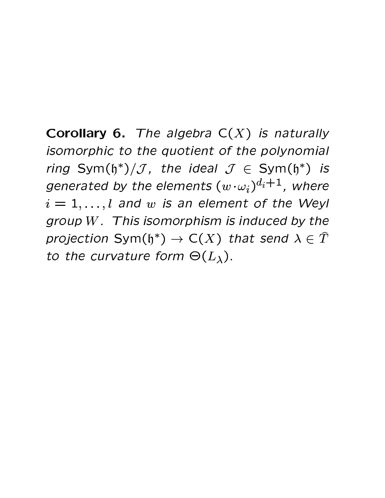**Corollary 6.** The algebra  $C(X)$  is naturally isomorphic to the quotient of the polynomial ring Sym(h<sup>\*</sup>)/*J*, the ideal  $J \in Sym(h^*)$  is generated by the elements  $(w \cdot \omega_i)^{d_i+1}$ , where  $i = 1, \ldots, l$  and w is an element of the Weyl group  $W$ . This isomorphism is induced by the projection Sym( $\mathfrak{h}^*$ )  $\to$  C(X) that send  $\lambda \in \hat{T}$ to the curvature form  $\Theta(L_{\lambda})$ .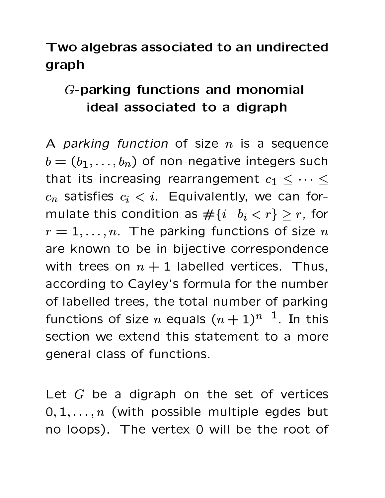# ! # -\$ # # \$ graph

# $\blacksquare$  . The set of the set of the set of the set of the set of the set of the set of the set of the set of the set of the set of the set of the set of the set of the set of the set of the set of the set of the set of the ideal associated to a digraph

 $\Lambda$  *noulting friending of cipe* is a sequence ,  $\mathbf{1}$   $\mathbf{1}$   $\mathbf{2}$   $\mathbf{6}$   $\mathbf{3}$   $\mathbf{4}$   $\mathbf{4}$   $\mathbf{5}$   $\mathbf{4}$   $\mathbf{1}$   $\mathbf{5}$   $\mathbf{3}$   $\mathbf{5}$   $\mathbf{4}$   $\mathbf{5}$   $\mathbf{5}$   $\mathbf{6}$   $\mathbf{5}$   $\mathbf{6}$   $\mathbf{6}$   $\mathbf{7}$   $\mathbf{8}$   $\mathbf{8}$   $\mathbf{8}$   $\mathbf{$ <sup>A</sup> @A 3A 34% @ <sup>34</sup>! @ @ <sup>4</sup>! - 4A , and the contract of the contract of the contract of the contract of the contract of the contract of the contract of the contract of the contract of the contract of the contract of the contract of the contract of the con - - - . We are the contract of the contract of the contract of the contract of the contract of the contract of the contract of the contract of the contract of the contract of the contract of the contract of the contract of the c the contract of the contract of the contract of the contract of the contract of the contract of the contract of  $\mathbf{3}$  and  $\mathbf{4}$  are  $\mathbf{4}$  and  $\mathbf{4}$  . The set of the set of the set of the set of the set of the set of the set of the set of the set of the set of the set of the set of the set of the set of the set of the se mulate this condition as  $\#\{i \mid b_i < r\} > r$ , for  $\mathcal{C}$  is a set of  $\mathcal{C}$  in the set of  $\mathcal{C}$  $n=1,\ldots,n$  . The parking functions of size  $n$ are known to be in bijective correspondence  $\mathbf{1}$   $\mathbf{1}$   $\mathbf{1}$   $\mathbf{1}$   $\mathbf{1}$   $\mathbf{1}$   $\mathbf{1}$   $\mathbf{1}$   $\mathbf{1}$   $\mathbf{1}$   $\mathbf{1}$   $\mathbf{1}$   $\mathbf{1}$   $\mathbf{1}$   $\mathbf{1}$   $\mathbf{1}$   $\mathbf{1}$   $\mathbf{1}$   $\mathbf{1}$   $\mathbf{1}$   $\mathbf{1}$   $\mathbf{1}$   $\mathbf{1}$   $\mathbf{1}$   $\mathbf{$  $\alpha$  a  $\alpha$  and  $\alpha$  and  $\alpha$  are  $\alpha$  . Then  $\alpha$  is a set of  $\alpha$  and  $\alpha$  are  $\alpha$  -  $\alpha$  -  $\alpha$  -  $\alpha$  -  $\alpha$  -  $\alpha$  -  $\alpha$  -  $\alpha$  -  $\alpha$  -  $\alpha$  -  $\alpha$  -  $\alpha$  -  $\alpha$  -  $\alpha$  -  $\alpha$  -  $\alpha$  -  $\alpha$  -  $\alpha$  -  $\alpha$  -  $\alpha$  -  $\mathcal{L}$   $\mathcal{C}$  if the distribution of  $\mathcal{L}$  and  $\mathcal{L}$  are defined by  $\mathcal{L}$  and  $\mathcal{L}$  and  $\mathcal{L}$  are defined by  $\mathcal{L}$ fugations of  $\sin \theta$  cause  $(1, 1)$  $n-1$  In this A 3 4 . 5 A  $\sim$  4 . 6 A  $\sim$  4 . 6 A  $\sim$  4 . 6 A  $\sim$  4 . 6 A  $\sim$  4 . 6 A  $\sim$  4  $\sim$  4 . 6 A  $\sim$  4 . 6 A  $\sim$ . The second constraints of the second constraints  $\mathcal{A} = \{ \mathcal{A} \mid \mathcal{A} \in \mathcal{A} \}$  , we can define a second constraint  $\mathcal{A} = \{ \mathcal{A} \mid \mathcal{A} \in \mathcal{A} \}$ 

for a  $\alpha$  -form  $\alpha$  -form  $\alpha$  and  $\alpha$  and  $\alpha$  and  $\alpha$  and  $\alpha$  and  $\alpha$  are  $\alpha$  $\wedge$  1  $\wedge$  ... the period is provided a subset hut  $\alpha$  , and a set of  $\alpha$  function  $\alpha$  . The set of  $\alpha$  is the set of  $\alpha$  is the set of  $\alpha$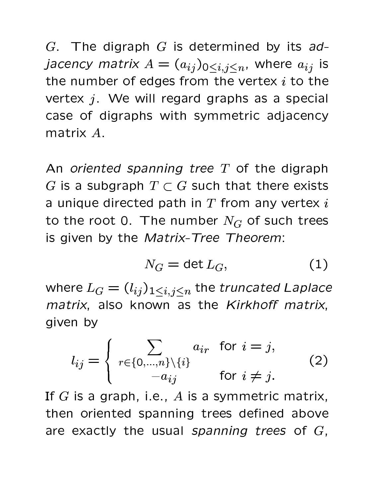$\alpha$  . The discussion  $\alpha$  is determined by the sub*jacency matrix*  $A = (a_{ij})_{0 \le i, i \le n}$ *, where*  ) . The state of the state of the state of the state of the state of the state of the state of the state of the state of the state of the state of the state of the state of the state of the state of the state of the state A has been assumed to a set of the set of the set of the set of the set of the set of the set of the set of the set of the set of the set of the set of the set of the set of the set of the set of the set of the set of the  $\mathbf{A}$  5  $\mathbf{A}$  5  $\mathbf{A}$  5  $\mathbf{A}$  5  $\mathbf{A}$  . The set of  $\mathbf{A}$  is a set of  $\mathbf{A}$  of  $\mathbf{A}$  and  $\mathbf{A}$  are  $\mathbf{A}$  and  $\mathbf{A}$  are  $\mathbf{A}$  and  $\mathbf{A}$  are  $\mathbf{A}$  and  $\mathbf{A}$  are  $\mathbf{A}$  and  $\mathbf{$  $\mathcal{S} = \mathcal{S} \cup \mathcal{S}$  . At  $\mathcal{S} = \mathcal{S}$  . At the set of the set of the set of the set of the set of the set of the set of the set of the set of the set of the set of the set of the set of the set of the set of the se -@A 35

 $\;$  -defined by  $\;$  -defined by  $\;$  ,  $\;$  ,  $\;$  ,  $\;$  ,  $\;$  ,  $\;$  ,  $\;$  ,  $\;$  ,  $\;$  ,  $\;$  ,  $\;$  ,  $\;$  ,  $\;$  ,  $\;$  ,  $\;$  ,  $\;$  ,  $\;$  ,  $\;$  ,  $\;$  ,  $\;$  ,  $\;$  ,  $\;$  ,  $\;$  ,  $\;$  ,  $\;$  ,  $\;$  ,  $\;$  G is a subgraph  $T \subset G$  such that there exists  $\alpha$  4  $\alpha$  3  $\alpha$  3  $\alpha$  4  $\alpha$  3  $\alpha$  4  $\alpha$  3  $\alpha$  4  $\alpha$  5  $\alpha$  6  $\alpha$  5  $\alpha$  5  $\alpha$  6  $\alpha$  6  $\alpha$  6  $\alpha$  6  $\alpha$  6  $\alpha$ A  $A$  -and  $A$  -and  $A$  -and  $A$  -and  $A$  -and  $A$  -and  $A$  -and  $A$  -and  $A$  -and  $A$  -and  $A$  -and  $A$  -and  $A$  -and  $A$  -and  $A$  -and  $A$  -and  $A$  -and  $A$  -and  $A$  -and  $A$  -and  $A$  -and  $A$  -and  $A$  -and  $A$  -and  $A$ is given by the Matrix-Tree Theorem:

$$
N_G = \det L_G,\tag{1}
$$

where  $L_C = (l_{ij})_{1 \leq i, j \leq n}$  the tr  $\sim$  11  $\sim$  11  $\sim$  11  $\sim$  11  $\sim$  11  $\sim$  11  $\sim$  11  $\sim$  11  $\sim$  11  $\sim$  11  $\sim$  11  $\sim$  11  $\sim$  11  $\sim$  11  $\sim$  11  $\sim$  11  $\sim$  11  $\sim$  11  $\sim$  11  $\sim$  11  $\sim$  11  $\sim$  11  $\sim$  11  $\sim$  11  $\sim$  11  $\sim$  11  $\sim$  11  $\sim$  A  $\overline{2}$  ,  $\overline{2}$  ,  $\overline{2}$  ,  $\overline{2}$  ,  $\overline{2}$  ,  $\overline{2}$  ,  $\overline{2}$  ,  $\overline{2}$  ,  $\overline{2}$  ,  $\overline{2}$  ,  $\overline{2}$  ,  $\overline{2}$  ,  $\overline{2}$  ,  $\overline{2}$  ,  $\overline{2}$  ,  $\overline{2}$  ,  $\overline{2}$  ,  $\overline{2}$  ,  $\overline{2}$  ,  $\overline{2}$  ,  $\mathbf{A} \cdot \mathbf{A}$  , and  $\mathbf{A} \cdot \mathbf{A}$  are  $\mathbf{A} \cdot \mathbf{A}$  . The  $\mathbf{A} \cdot \mathbf{A}$  of  $\mathbf{A} \cdot \mathbf{A}$  ,  $\mathbf{A} \cdot \mathbf{A}$  ,  $\mathbf{A} \cdot \mathbf{A}$  ,  $\mathbf{A} \cdot \mathbf{A}$  ,  $\mathbf{A} \cdot \mathbf{A}$  ,  $\mathbf{A} \cdot \mathbf{A}$  ,  $\mathbf{A} \cdot \mathbf{A}$  , given by

$$
l_{ij} = \begin{cases} \sum_{r \in \{0, \dots, n\} \setminus \{i\}} a_{ir} & \text{for } i = j, \\ -a_{ij} & \text{for } i \neq j. \end{cases}
$$
 (2)

 $\mathbf{z} \in \mathbb{R}$  . The set of  $\mathbb{R}$  is a set of  $\mathbb{R}$  is a set of  $\mathbb{R}$  . The set of  $\mathbb{R}$  is a set of  $\mathbb{R}$  is a set of  $\mathbb{R}$  is a set of  $\mathbb{R}$  is a set of  $\mathbb{R}$  is a set of  $\mathbb{R}$  is a set of then oriented spanning trees defined above are exactly the usual spanning trees of  $G$ ,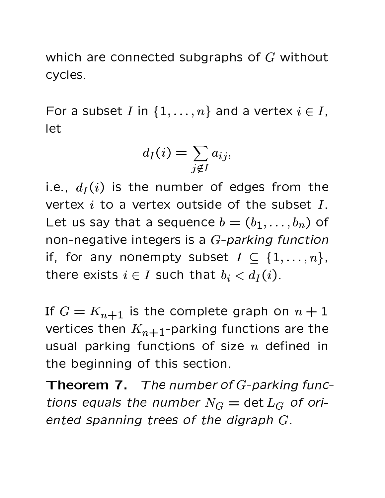which are connected subgraphs of  $G$  without cycles.

 @ A <sup>34</sup> - @ 4 @ A " let

$$
d_I(i) = \sum_{j \notin I} a_{ij},
$$

 $\overline{a}$  , and  $\overline{a}$  and  $\overline{a}$  and  $\overline{a}$  and  $\overline{a}$  and  $\overline{a}$  and  $\overline{a}$  and  $\overline{a}$  and  $\overline{a}$  and  $\overline{a}$  and  $\overline{a}$  and  $\overline{a}$  and  $\overline{a}$  and  $\overline{a}$  and  $\overline{a}$  and  $\overline{a}$  and  $\overline{a}$  an vertex  $i$  to a vertex outside of the subset  $I$ . . A construction of the construction of the construction of  $\mathcal{A}$  and  $\mathcal{A}$  and  $\mathcal{A}$  and  $\mathcal{A}$ non-negative integers is a  $G$ -parking function  $:$   $\mathsf{L}$   $\mathsf{L}$   $\mathsf{L}$   $\mathsf{L}$   $\mathsf{L}$   $\mathsf{L}$   $\mathsf{L}$   $\mathsf{L}$   $\mathsf{L}$   $\mathsf{L}$   $\mathsf{L}$   $\mathsf{L}$   $\mathsf{L}$   $\mathsf{L}$   $\mathsf{L}$   $\mathsf{L}$   $\mathsf{L}$   $\mathsf{L}$   $\mathsf{L}$   $\mathsf{L}$   $\mathsf{L}$   $\mathsf{L}$   $\mathsf{L}$   $\mathsf{L}$  the second that  $\mathbf{X} = \mathbf{X}$  is the set  $\mathbf{X} = \mathbf{X}$  . As  $\mathbf{X} = \mathbf{X}$ 

If  $\alpha$  is the separate separate  $\alpha$  is 1 vertices then  $K_{n+1}$ -parking functions are the . The contract of the contract of the contract of the contract of the contract of the contract of the contract of the contract of the contract of the contract of the contract of the contract of the contract of the contrac the beginning of this section.

**Theorem 7.** The number of G-parking functions equals the number  $N_G = \det L_G$  of oriented spanning trees of the digraph  $G$ .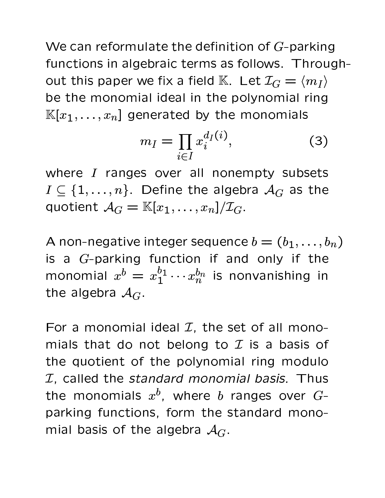We can reformulate the definition of  $G$ -parking functions in algebraic terms as follows. Throughout this paper we fix a field K. Let  $\mathcal{I}_G = \langle m_I \rangle$ be the monomial ideal in the polynomial ring  $\mathbb{K}[x_1,\ldots,x_n]$  generated by the monomials

$$
m_I = \prod_{i \in I} x_i^{d_I(i)},\tag{3}
$$

where I ranges over all nonempty subsets  $I \subseteq \{1, \ldots, n\}$ . Define the algebra  $\mathcal{A}_G$  as the quotient  $\mathcal{A}_G = \mathbb{K}[x_1,\ldots,x_n]/\mathcal{I}_G$ .

A non-negative integer sequence  $b = (b_1, \ldots, b_n)$ is a  $G$ -parking function if and only if the monomial  $x^b = x_1^{b_1} \cdots x_n^{b_n}$  is nonvanishing in the algebra  $A_G$ .

For a monomial ideal  $\mathcal{I}$ , the set of all monomials that do not belong to  $\mathcal I$  is a basis of the quotient of the polynomial ring modulo I, called the standard monomial basis. Thus the monomials  $x^b$ , where b ranges over  $G$ parking functions, form the standard monomial basis of the algebra  $A_G$ .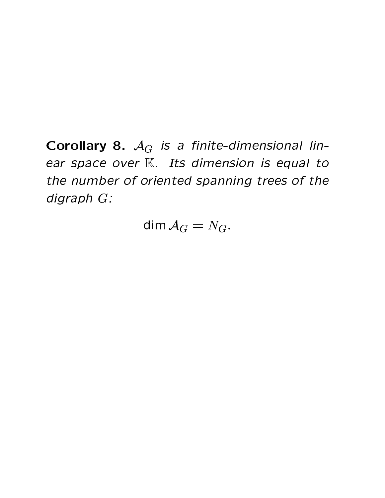Corollary 8.  $A_G$  is a finite-dimensional linear space over K. Its dimension is equal to the number of oriented spanning trees of the digraph G:

dim  $A_G = N_G$ .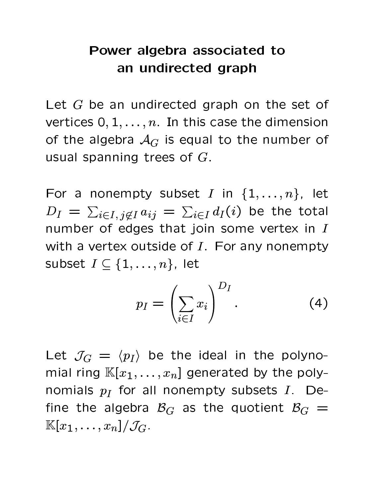## Power algebra associated to an undirected graph

Let  $G$  be an undirected graph on the set of vertices  $0, 1, \ldots, n$ . In this case the dimension of the algebra  $A_G$  is equal to the number of usual spanning trees of  $G$ .

For a nonempty subset I in  $\{1,\ldots,n\}$ , let  $D_I = \sum_{i \in I, j \notin I} a_{ij} = \sum_{i \in I} d_I(i)$  be the total number of edges that join some vertex in I with a vertex outside of  $I$ . For any nonempty subset  $I \subseteq \{1, \ldots, n\}$ , let

$$
p_I = \left(\sum_{i \in I} x_i\right)^{D_I}.
$$
 (4)

Let  $\mathcal{J}_G = \langle p_I \rangle$  be the ideal in the polynomial ring  $\mathbb{K}[x_1,\ldots,x_n]$  generated by the polynomials  $p_I$  for all nonempty subsets  $I$ . Define the algebra  $B_G$  as the quotient  $B_G =$  $\mathbb{K}[x_1,\ldots,x_n]/\mathcal{J}_G.$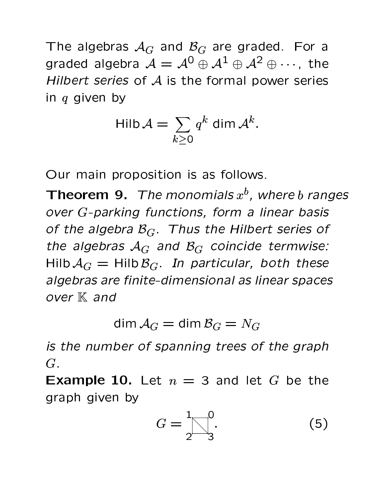The algebras  $A_G$  and  $B_G$  are graded. For a graded algebra  $\mathcal{A} = \mathcal{A}^0 \oplus \mathcal{A}^1 \oplus \mathcal{A}^2 \oplus \cdots$ , the Hilbert series of  $A$  is the formal power series in  $q$  given by

$$
\mathsf{Hilb}\,\mathcal{A}=\sum_{k\geq 0}q^k\,\mathsf{dim}\,\mathcal{A}^k.
$$

Our main proposition is as follows.

**Theorem 9.** The monomials  $x^b$ , where b ranges over G-parking functions, form a linear basis of the algebra  $\mathcal{B}_G$ . Thus the Hilbert series of the algebras  $A_G$  and  $B_G$  coincide termwise: Hilb  $A_G$  = Hilb  $B_G$ . In particular, both these algebras are finite-dimensional as linear spaces over  $K$  and

dim  $A_G =$  dim  $B_G = N_G$ 

is the number of spanning trees of the graph  $G$ .

**Example 10.** Let  $n = 3$  and let G be the graph given by

$$
G = \frac{1}{2} \begin{bmatrix} 0 \\ 3 \end{bmatrix}.
$$
 (5)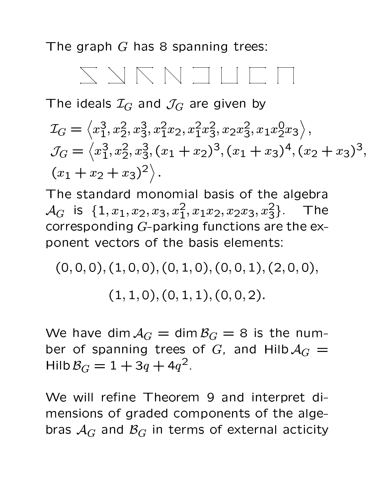The graph  $G$  has 8 spanning trees:



The ideals  $\mathcal{I}_G$  and  $\mathcal{J}_G$  are given by

$$
\mathcal{I}_G = \langle x_1^3, x_2^2, x_3^3, x_1^2 x_2, x_1^2 x_3^2, x_2 x_3^2, x_1 x_2^0 x_3 \rangle,
$$
  
\n
$$
\mathcal{J}_G = \langle x_1^3, x_2^2, x_3^3, (x_1 + x_2)^3, (x_1 + x_3)^4, (x_2 + x_3)^3,
$$
  
\n
$$
\langle x_1 + x_2 + x_3 \rangle^2 \rangle.
$$

The standard monomial basis of the algebra  $\mathcal{A}_G$  is  $\{1, x_1, x_2, x_3, x_1^2, x_1x_2, x_2x_3, x_3^2\}$ . The corresponding G-parking functions are the exponent vectors of the basis elements:

$$
(0,0,0),(1,0,0),(0,1,0),(0,0,1),(2,0,0),\\(1,1,0),(0,1,1),(0,0,2).
$$

We have dim  $A_G = \dim B_G = 8$  is the number of spanning trees of G, and Hilb  $A_G =$ Hilb  $B_G = 1 + 3q + 4q^2$ .

We will refine Theorem 9 and interpret dimensions of graded components of the algebras  $A_G$  and  $B_G$  in terms of external acticity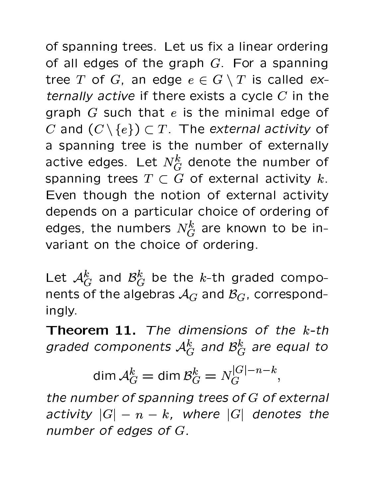of spanning trees. Let us fix a linear ordering of all edges of the graph  $G$ . For a spanning tree T of G, an edge  $e \in G \setminus T$  is called externally active if there exists a cycle  $C$  in the graph  $G$  such that  $e$  is the minimal edge of C and  $(C \setminus \{e\}) \subset T$ . The external activity of a spanning tree is the number of externally active edges. Let  $N_G^k$  denote the number of spanning trees  $T \subset G$  of external activity k. Even though the notion of external activity depends on a particular choice of ordering of edges, the numbers  $N_G^k$  are known to be invariant on the choice of ordering.

Let  $\mathcal{A}_G^k$  and  $\mathcal{B}_G^k$  be the k-th graded components of the algebras  $A_G$  and  $B_G$ , correspondingly.

**Theorem 11.** The dimensions of the  $k$ -th graded components  $\mathcal{A}_G^k$  and  $\mathcal{B}_G^k$  are equal to

$$
\dim \mathcal{A}_G^k = \dim \mathcal{B}_G^k = N_G^{|G|-n-k},
$$

the number of spanning trees of  $G$  of external activity  $|G| - n - k$ , where  $|G|$  denotes the number of edges of G.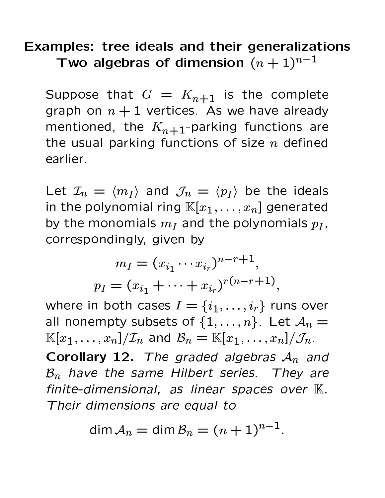# Examples: tree ideals and their generalizations Two algebras of dimension  $(n + 1)^{n-1}$

Suppose that  $G = K_{n+1}$  is the complete graph on  $n + 1$  vertices. As we have already mentioned, the  $K_{n+1}$ -parking functions are the usual parking functions of size  $n$  defined earlier.

Let  $\mathcal{I}_n = \langle m_I \rangle$  and  $\mathcal{J}_n = \langle p_I \rangle$  be the ideals in the polynomial ring  $\mathbb{K}[x_1,\ldots,x_n]$  generated by the monomials  $m_I$  and the polynomials  $p_I$ , correspondingly, given by

$$
m_I = (x_{i_1} \cdots x_{i_r})^{n-r+1},
$$
  

$$
p_I = (x_{i_1} + \cdots + x_{i_r})^{r(n-r+1)},
$$

where in both cases  $I = \{i_1, \ldots, i_r\}$  runs over all nonempty subsets of  $\{1,\ldots,n\}$ . Let  $\mathcal{A}_n =$  $\mathbb{K}[x_1,\ldots,x_n]/\mathcal{I}_n$  and  $\mathcal{B}_n = \mathbb{K}[x_1,\ldots,x_n]/\mathcal{J}_n$ .

Corollary 12. The graded algebras  $A_n$  and  $\mathcal{B}_n$  have the same Hilbert series. They are finite-dimensional, as linear spaces over  $K$ . Their dimensions are equal to

$$
\dim \mathcal{A}_n = \dim \mathcal{B}_n = (n+1)^{n-1}.
$$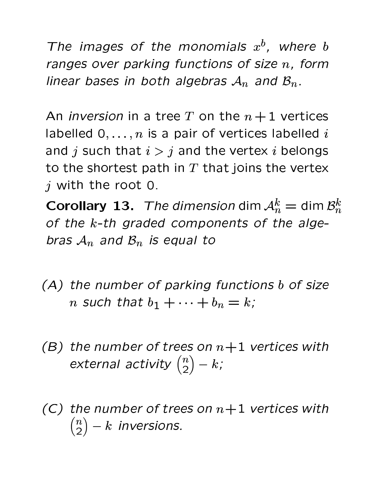The images of the monomials  $x^b$ , where b ranges over parking functions of size  $n$ , form linear bases in both algebras  $A_n$  and  $B_n$ .

An *inversion* in a tree T on the  $n+1$  vertices labelled  $0, \ldots, n$  is a pair of vertices labelled i and j such that  $i > j$  and the vertex i belongs to the shortest path in  $T$  that joins the vertex  $j$  with the root 0.

**Corollary 13.** The dimension dim  $A_n^k =$  dim  $B_n^k$ of the k-th graded components of the algebras  $A_n$  and  $B_n$  is equal to

- (A) the number of parking functions b of size *n* such that  $b_1 + \cdots + b_n = k$ ;
- (B) the number of trees on  $n+1$  vertices with external activity  $\binom{n}{2} - k$ ;
- (C) the number of trees on  $n+1$  vertices with  $\binom{n}{2} - k$  inversions.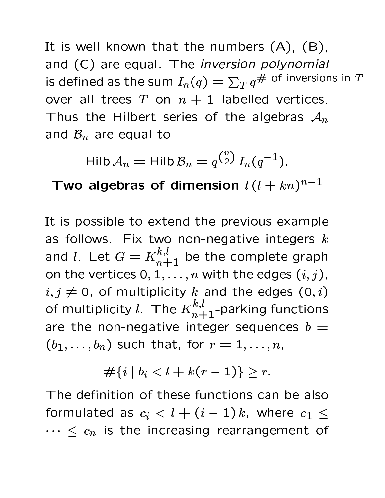It is well known that the numbers  $(A)$ ,  $(B)$ , and (C) are equal. The inversion polynomial is defined as the sum  $I_n(q) = \sum_T q^{\#}$  of inversions in T over all trees T on  $n + 1$  labelled vertices. Thus the Hilbert series of the algebras  $A_n$ and  $\mathcal{B}_n$  are equal to

$$
\mathsf{Hilb}\,\mathcal{A}_n = \mathsf{Hilb}\,\mathcal{B}_n = q^{\binom{n}{2}}\,I_n(q^{-1}).
$$

Two algebras of dimension  $l(l + kn)^{n-1}$ 

It is possible to extend the previous example as follows. Fix two non-negative integers  $k$ and *l*. Let  $G = K_{n+1}^{k,l}$  be the complete graph on the vertices  $0, 1, \ldots, n$  with the edges  $(i, j)$ ,  $i, j \neq 0$ , of multiplicity k and the edges  $(0, i)$ of multiplicity l. The  $K_{n+1}^{k,l}$ -parking functions are the non-negative integer sequences  $b =$  $(b_1,\ldots,b_n)$  such that, for  $r=1,\ldots,n$ ,

$$
\#\{i \mid b_i < l + k(r-1)\} \geq r.
$$

The definition of these functions can be also formulated as  $c_i < l + (i - 1)k$ , where  $c_1 \le$  $\cdots \leq c_n$  is the increasing rearrangement of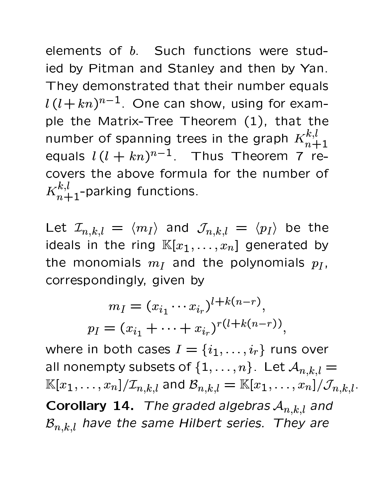elements of b. Such functions were studied by Pitman and Stanley and then by Yan. They demonstrated that their number equals  $l(l+kn)^{n-1}$ . One can show, using for example the Matrix-Tree Theorem (1), that the number of spanning trees in the graph  $K^{k,l}_{n+1}$ equals  $l(l + kn)^{n-1}$ . Thus Theorem 7 recovers the above formula for the number of  $K_{n+1}^{k,l}$ -parking functions.

Let  $\mathcal{I}_{n,k,l} = \langle m_I \rangle$  and  $\mathcal{J}_{n,k,l} = \langle p_I \rangle$  be the ideals in the ring  $\mathbb{K}[x_1,\ldots,x_n]$  generated by the monomials  $m_I$  and the polynomials  $p_I$ , correspondingly, given by

$$
m_I = (x_{i_1} \cdots x_{i_r})^{l+k(n-r)},
$$
  

$$
p_I = (x_{i_1} + \cdots + x_{i_r})^{r(l+k(n-r))},
$$

where in both cases  $I = \{i_1, \ldots, i_r\}$  runs over all nonempty subsets of  $\{1,\ldots,n\}$ . Let  $\mathcal{A}_{n,k,l} =$  $\mathbb{K}[x_1,\ldots,x_n]/\mathcal{I}_{n,k,l}$  and  $\mathcal{B}_{n,k,l} = \mathbb{K}[x_1,\ldots,x_n]/\mathcal{J}_{n,k,l}.$ Corollary 14. The graded algebras  $A_{n,k,l}$  and  $\mathcal{B}_{n,k,l}$  have the same Hilbert series. They are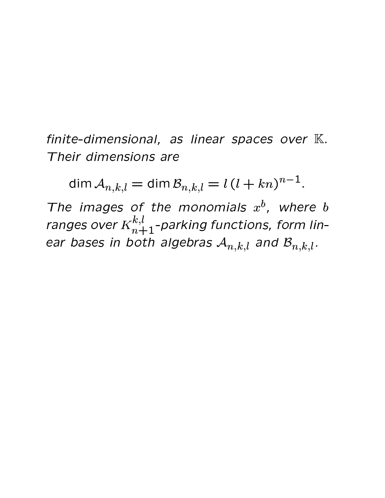finite-dimensional, as linear spaces over K. Their dimensions are

dim  $A_{n,k,l} = \dim B_{n,k,l} = l(l+kn)^{n-1}$ .

The images of the monomials  $x^b$ , where b ranges over  $K^{k,l}_{n+1}$ -parking functions, form linear bases in both algebras  $\mathcal{A}_{n,k,l}$  and  $\mathcal{B}_{n,k,l}$ .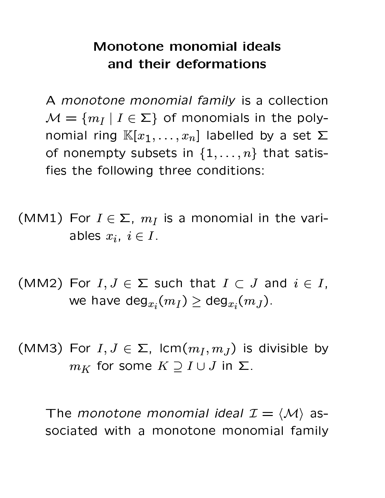## Monotone monomial ideals and their deformations

A monotone monomial family is a collection  $\mathcal{M} = \{m_I | I \in \Sigma\}$  of monomials in the polynomial ring  $\mathbb{K}[x_1,\ldots,x_n]$  labelled by a set  $\Sigma$ of nonempty subsets in  $\{1,\ldots,n\}$  that satisfies the following three conditions:

- (MM1) For  $I \in \Sigma$ ,  $m_I$  is a monomial in the variables  $x_i, i \in I$ .
- (MM2) For  $I, J \in \Sigma$  such that  $I \subset J$  and  $i \in I$ , we have deg $_{x_i}(m_I)\geq \deg_{x_i}(m_J)$ .
- (MM3) For  $I, J \in \Sigma$ ,  $\text{lcm}(m_I, m_J)$  is divisible by  $m_K$  for some  $K \supset I \cup J$  in  $\Sigma$ .

The monotone monomial ideal  $\mathcal{I} = \langle \mathcal{M} \rangle$  associated with a monotone monomial family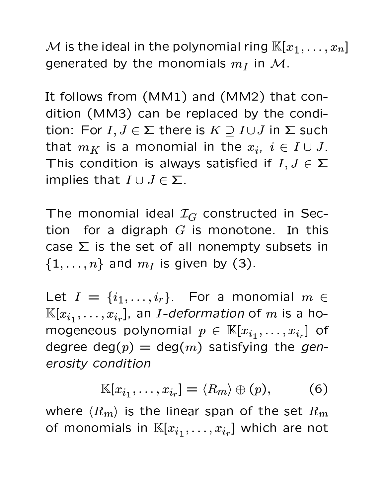M is the ideal in the polynomial ring  $\mathbb{K}[x_1,\ldots,x_n]$ generated by the monomials  $m_I$  in M.

It follows from (MM1) and (MM2) that condition (MM3) can be replaced by the condition: For  $I, J \in \Sigma$  there is  $K \supset I \cup J$  in  $\Sigma$  such that  $m_K$  is a monomial in the  $x_i$ ,  $i \in I \cup J$ . This condition is always satisfied if  $I, J \in \Sigma$ implies that  $I \cup J \in \Sigma$ .

The monomial ideal  $\mathcal{I}_G$  constructed in Section for a digraph  $G$  is monotone. In this case  $\Sigma$  is the set of all nonempty subsets in  $\{1,\ldots,n\}$  and  $m_I$  is given by (3).

Let  $I = \{i_1, \ldots, i_r\}$ . For a monomial  $m \in$  $\mathbb{K}[x_{i_1},\ldots,x_{i_r}],$  an *I-deformation* of m is a homogeneous polynomial  $p \in \mathbb{K}[x_{i_1},...,x_{i_r}]$  of degree deg $(p) = \deg(m)$  satisfying the generosity condition

$$
\mathbb{K}[x_{i_1},\ldots,x_{i_r}] = \langle R_m \rangle \oplus (p), \qquad (6)
$$

where  $\langle R_m \rangle$  is the linear span of the set  $R_m$ of monomials in  $\mathbb{K}[x_{i_1},\ldots,x_{i_r}]$  which are not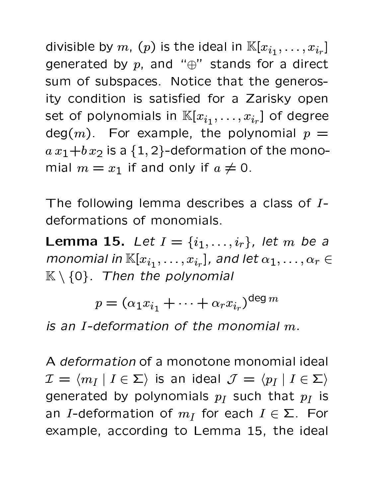divisible by  $m$ ,  $(p)$  is the ideal in  $\mathbb{K}[x_{i_1}, \ldots, x_{i_r}]$ generated by  $p$ , and " $\oplus$ " stands for a direct sum of subspaces. Notice that the generosity condition is satisfied for a Zarisky open set of polynomials in  $\mathbb{K}[x_{i_1},\ldots,x_{i_r}]$  of degree  $deg(m)$ . For example, the polynomial  $p =$  $a x_1 + b x_2$  is a  $\{1, 2\}$ -deformation of the monomial  $m = x_1$  if and only if  $a \neq 0$ .

The following lemma describes a class of Ideformations of monomials.

**Lemma 15.** Let  $I = \{i_1, ..., i_r\}$ , let m be a monomial in  $\mathbb{K}[x_{i_1},\ldots,x_{i_r}]$ , and let  $\alpha_1,\ldots,\alpha_r\in$  $K \setminus \{0\}$ . Then the polynomial

$$
p = (\alpha_1 x_{i_1} + \dots + \alpha_r x_{i_r})^{\deg m}
$$

is an I-deformation of the monomial  $m$ .

A *deformation* of a monotone monomial ideal  $\mathcal{I} = \langle m_I | I \in \Sigma \rangle$  is an ideal  $\mathcal{J} = \langle p_I | I \in \Sigma \rangle$ generated by polynomials  $p_I$  such that  $p_I$  is an *I*-deformation of  $m_I$  for each  $I \in \Sigma$ . For example, according to Lemma 15, the ideal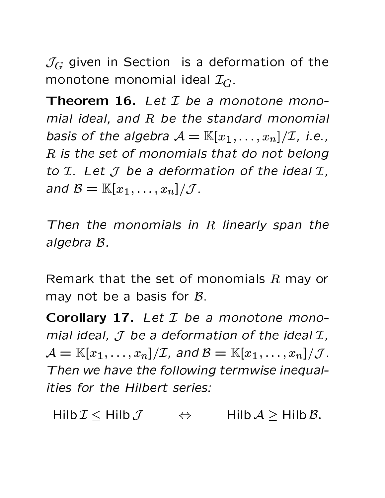$\mathcal{J}_G$  given in Section is a deformation of the monotone monomial ideal  $\mathcal{I}_G$ .

**Theorem 16.** Let  $I$  be a monotone monomial ideal, and  $R$  be the standard monomial basis of the algebra  $\mathcal{A} = \mathbb{K}[x_1, \ldots, x_n]/\mathcal{I}$ , i.e., R is the set of monomials that do not belong to  $I$ . Let  $J$  be a deformation of the ideal  $I$ , and  $\mathcal{B} = \mathbb{K}[x_1,\ldots,x_n]/\mathcal{J}$ .

Then the monomials in  $R$  linearly span the algebra B.

Remark that the set of monomials  $R$  may or may not be a basis for  $B$ .

Corollary 17. Let I be a monotone monomial ideal,  $J$  be a deformation of the ideal  $I$ ,  $\mathcal{A} = \mathbb{K}[x_1,\ldots,x_n]/\mathcal{I}$ , and  $\mathcal{B} = \mathbb{K}[x_1,\ldots,x_n]/\mathcal{J}$ . Then we have the following termwise inequalities for the Hilbert series:

Hilb  $\mathcal{I}$  < Hilb  $\mathcal{J}$  $Hilb A > Hilb B.$  $\Leftrightarrow$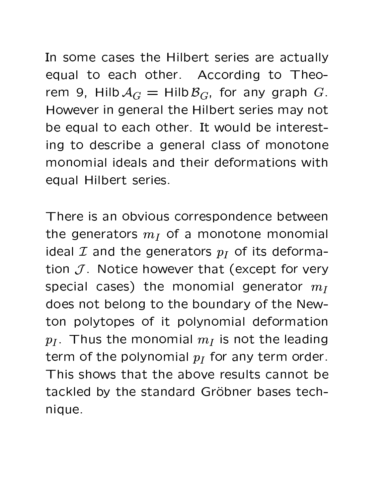In some cases the Hilbert series are actually equal to each other. According to Theorem 9, Hilb  $A_G = Hilb \mathcal{B}_G$ , for any graph G. However in general the Hilbert series may not be equal to each other. It would be interesting to describe a general class of monotone monomial ideals and their deformations with equal Hilbert series.

There is an obvious correspondence between the generators  $m_I$  of a monotone monomial ideal  $\mathcal I$  and the generators  $p_I$  of its deformation  $J$ . Notice however that (except for very special cases) the monomial generator  $m_I$ does not belong to the boundary of the Newton polytopes of it polynomial deformation  $p_I$ . Thus the monomial  $m_I$  is not the leading term of the polynomial  $p_I$  for any term order. This shows that the above results cannot be tackled by the standard Gröbner bases technique.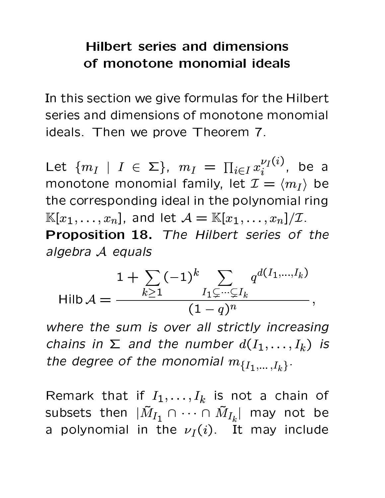### **Hilbert series and dimensions** of monotone monomial ideals

In this section we give formulas for the Hilbert series and dimensions of monotone monomial ideals. Then we prove Theorem 7.

Let  $\{m_I \mid I \in \Sigma\}$ ,  $m_I = \prod_{i \in I} x_i^{\nu_I(i)}$ , be a monotone monomial family, let  $\mathcal{I} = \langle m_I \rangle$  be the corresponding ideal in the polynomial ring  $\mathbb{K}[x_1,\ldots,x_n],$  and let  $\mathcal{A}=\mathbb{K}[x_1,\ldots,x_n]/\mathcal{I}.$ Proposition 18. The Hilbert series of the algebra A equals

$$
\mathsf{Hilb}\,\mathcal{A} = \frac{1 + \sum_{k \geq 1} (-1)^k \sum_{I_1 \subsetneq \dots \subsetneq I_k} q^{d(I_1, \dots, I_k)}}{(1 - q)^n},
$$

where the sum is over all strictly increasing chains in  $\Sigma$  and the number  $d(I_1,\ldots,I_k)$  is the degree of the monomial  $m_{\{I_1,...,I_k\}}$ .

Remark that if  $I_1, \ldots, I_k$  is not a chain of subsets then  $|\tilde{M}_{I_1} \cap \cdots \cap \tilde{M}_{I_k}|$  may not be a polynomial in the  $\nu_I(i)$ . It may include